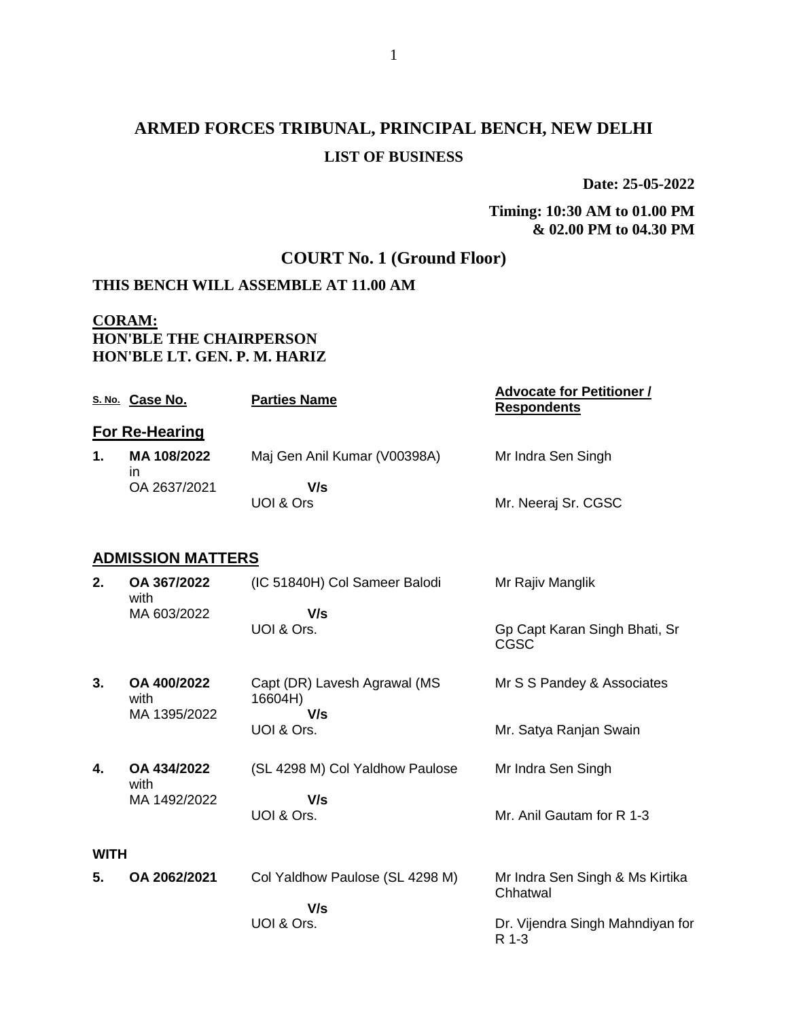# **ARMED FORCES TRIBUNAL, PRINCIPAL BENCH, NEW DELHI LIST OF BUSINESS**

**Date: 25-05-2022**

**Timing: 10:30 AM to 01.00 PM & 02.00 PM to 04.30 PM**

## **COURT No. 1 (Ground Floor)**

### **THIS BENCH WILL ASSEMBLE AT 11.00 AM**

#### **CORAM: HON'BLE THE CHAIRPERSON HON'BLE LT. GEN. P. M. HARIZ**

|    | S. No. Case No.   | <b>Parties Name</b>          | <b>Advocate for Petitioner /</b><br><b>Respondents</b> |
|----|-------------------|------------------------------|--------------------------------------------------------|
|    | For Re-Hearing    |                              |                                                        |
| 1. | MA 108/2022<br>ın | Maj Gen Anil Kumar (V00398A) | Mr Indra Sen Singh                                     |
|    | OA 2637/2021      | V/s<br>UOI & Ors             | Mr. Neeraj Sr. CGSC                                    |

#### **ADMISSION MATTERS**

| 2.          | OA 367/2022<br>with                 | (IC 51840H) Col Sameer Balodi                  | Mr Rajiv Manglik                            |
|-------------|-------------------------------------|------------------------------------------------|---------------------------------------------|
|             | MA 603/2022                         | V/s<br>UOI & Ors.                              | Gp Capt Karan Singh Bhati, Sr               |
|             |                                     |                                                | CGSC                                        |
| 3.          | OA 400/2022<br>with<br>MA 1395/2022 | Capt (DR) Lavesh Agrawal (MS<br>16604H)<br>V/s | Mr S S Pandey & Associates                  |
|             |                                     | UOI & Ors.                                     | Mr. Satya Ranjan Swain                      |
| 4.          | OA 434/2022<br>with                 | (SL 4298 M) Col Yaldhow Paulose                | Mr Indra Sen Singh                          |
|             | MA 1492/2022                        | V/s<br>UOI & Ors.                              | Mr. Anil Gautam for R 1-3                   |
| <b>WITH</b> |                                     |                                                |                                             |
| 5.          | OA 2062/2021                        | Col Yaldhow Paulose (SL 4298 M)                | Mr Indra Sen Singh & Ms Kirtika<br>Chhatwal |
|             |                                     | V/s                                            |                                             |
|             |                                     | UOI & Ors.                                     | Dr. Vijendra Singh Mahndiyan for<br>R 1-3   |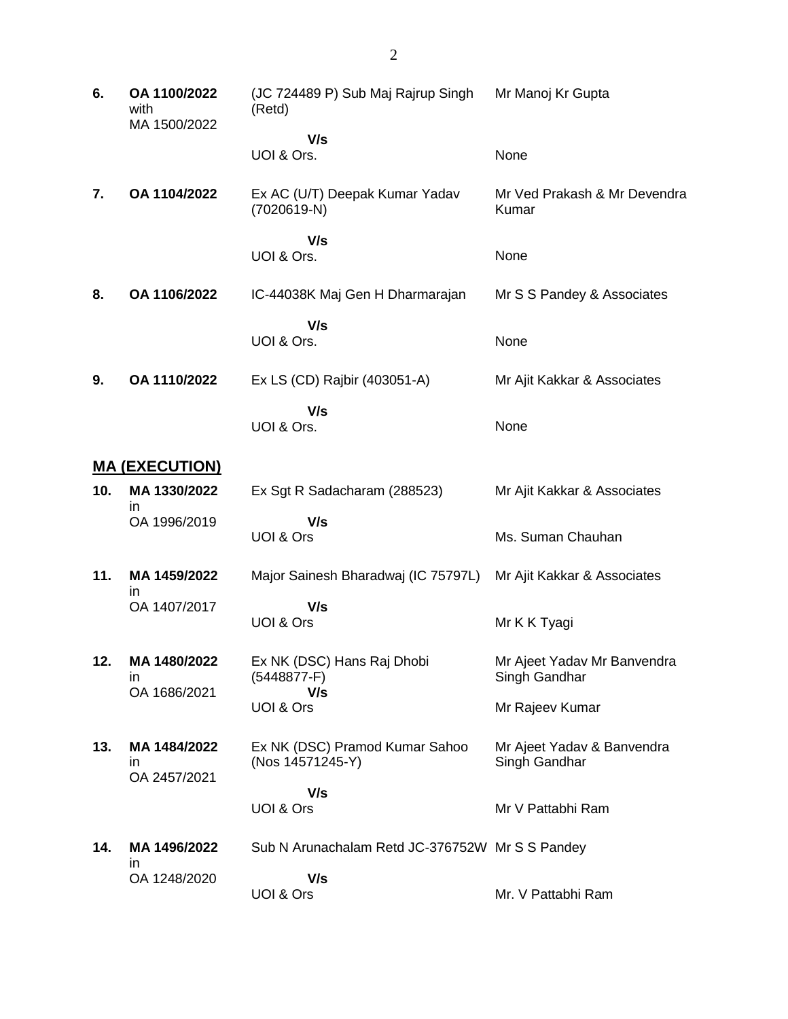| 6.  | OA 1100/2022<br>with<br>MA 1500/2022 | (JC 724489 P) Sub Maj Rajrup Singh<br>(Retd)       | Mr Manoj Kr Gupta                            |
|-----|--------------------------------------|----------------------------------------------------|----------------------------------------------|
|     |                                      | V/s<br>UOI & Ors.                                  | None                                         |
| 7.  | OA 1104/2022                         | Ex AC (U/T) Deepak Kumar Yadav<br>(7020619-N)      | Mr Ved Prakash & Mr Devendra<br>Kumar        |
|     |                                      | V/s<br>UOI & Ors.                                  | None                                         |
| 8.  | OA 1106/2022                         | IC-44038K Maj Gen H Dharmarajan                    | Mr S S Pandey & Associates                   |
|     |                                      | V/s<br>UOI & Ors.                                  | None                                         |
| 9.  | OA 1110/2022                         | Ex LS (CD) Rajbir (403051-A)                       | Mr Ajit Kakkar & Associates                  |
|     |                                      | V/s<br>UOI & Ors.                                  | None                                         |
|     | <u>MA (EXECUTION)</u>                |                                                    |                                              |
| 10. | MA 1330/2022<br>ın                   | Ex Sgt R Sadacharam (288523)                       | Mr Ajit Kakkar & Associates                  |
|     | OA 1996/2019                         | V/s<br>UOI & Ors                                   | Ms. Suman Chauhan                            |
| 11. | MA 1459/2022                         | Major Sainesh Bharadwaj (IC 75797L)                | Mr Ajit Kakkar & Associates                  |
|     | ın<br>OA 1407/2017                   | V/s<br>UOI & Ors                                   | Mr K K Tyagi                                 |
| 12. | MA 1480/2022<br>in<br>OA 1686/2021   | Ex NK (DSC) Hans Raj Dhobi<br>$(5448877-F)$        | Mr Ajeet Yadav Mr Banvendra<br>Singh Gandhar |
|     |                                      | V/s<br>UOI & Ors                                   | Mr Rajeev Kumar                              |
| 13. | MA 1484/2022<br>ın<br>OA 2457/2021   | Ex NK (DSC) Pramod Kumar Sahoo<br>(Nos 14571245-Y) | Mr Ajeet Yadav & Banvendra<br>Singh Gandhar  |
|     |                                      | V/s<br>UOI & Ors                                   | Mr V Pattabhi Ram                            |
| 14. | MA 1496/2022<br>ın                   | Sub N Arunachalam Retd JC-376752W Mr S S Pandey    |                                              |
|     | OA 1248/2020                         | V/s<br>UOI & Ors                                   | Mr. V Pattabhi Ram                           |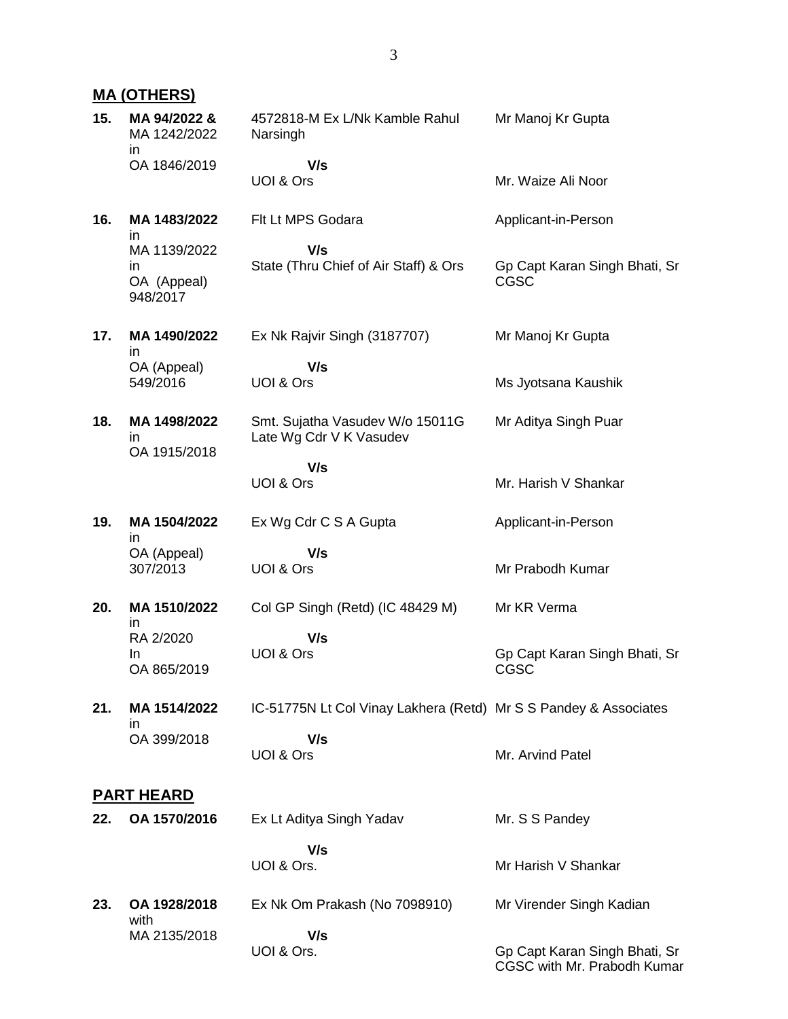### **MA (OTHERS)**

| 15. | MA 94/2022 &<br>MA 1242/2022<br>in            | 4572818-M Ex L/Nk Kamble Rahul<br>Narsingh                       | Mr Manoj Kr Gupta                                            |
|-----|-----------------------------------------------|------------------------------------------------------------------|--------------------------------------------------------------|
|     | OA 1846/2019                                  | V/s<br>UOI & Ors                                                 | Mr. Waize Ali Noor                                           |
| 16. | MA 1483/2022<br>in.                           | Flt Lt MPS Godara                                                | Applicant-in-Person                                          |
|     | MA 1139/2022<br>in<br>OA (Appeal)<br>948/2017 | V/s<br>State (Thru Chief of Air Staff) & Ors                     | Gp Capt Karan Singh Bhati, Sr<br><b>CGSC</b>                 |
| 17. | MA 1490/2022                                  | Ex Nk Rajvir Singh (3187707)                                     | Mr Manoj Kr Gupta                                            |
|     | ın<br>OA (Appeal)<br>549/2016                 | V/s<br>UOI & Ors                                                 | Ms Jyotsana Kaushik                                          |
| 18. | MA 1498/2022<br>$\mathsf{I}$<br>OA 1915/2018  | Smt. Sujatha Vasudev W/o 15011G<br>Late Wg Cdr V K Vasudev       | Mr Aditya Singh Puar                                         |
|     |                                               | V/s<br>UOI & Ors                                                 | Mr. Harish V Shankar                                         |
| 19. | MA 1504/2022<br>ın                            | Ex Wg Cdr C S A Gupta                                            | Applicant-in-Person                                          |
|     | OA (Appeal)<br>307/2013                       | V/s<br>UOI & Ors                                                 | Mr Prabodh Kumar                                             |
| 20. | MA 1510/2022<br>in.                           | Col GP Singh (Retd) (IC 48429 M)                                 | Mr KR Verma                                                  |
|     | RA 2/2020<br>In.<br>OA 865/2019               | V/s<br>UOI & Ors                                                 | Gp Capt Karan Singh Bhati, Sr<br><b>CGSC</b>                 |
| 21. | MA 1514/2022                                  | IC-51775N Lt Col Vinay Lakhera (Retd) Mr S S Pandey & Associates |                                                              |
|     | ın<br>OA 399/2018                             | V/s<br>UOI & Ors                                                 | Mr. Arvind Patel                                             |
|     | <b>PART HEARD</b>                             |                                                                  |                                                              |
| 22. | OA 1570/2016                                  | Ex Lt Aditya Singh Yadav                                         | Mr. S S Pandey                                               |
|     |                                               | V/s<br>UOI & Ors.                                                | Mr Harish V Shankar                                          |
| 23. | OA 1928/2018<br>with                          | Ex Nk Om Prakash (No 7098910)                                    | Mr Virender Singh Kadian                                     |
|     | MA 2135/2018                                  | V/s<br>UOI & Ors.                                                | Gp Capt Karan Singh Bhati, Sr<br>CGSC with Mr. Prabodh Kumar |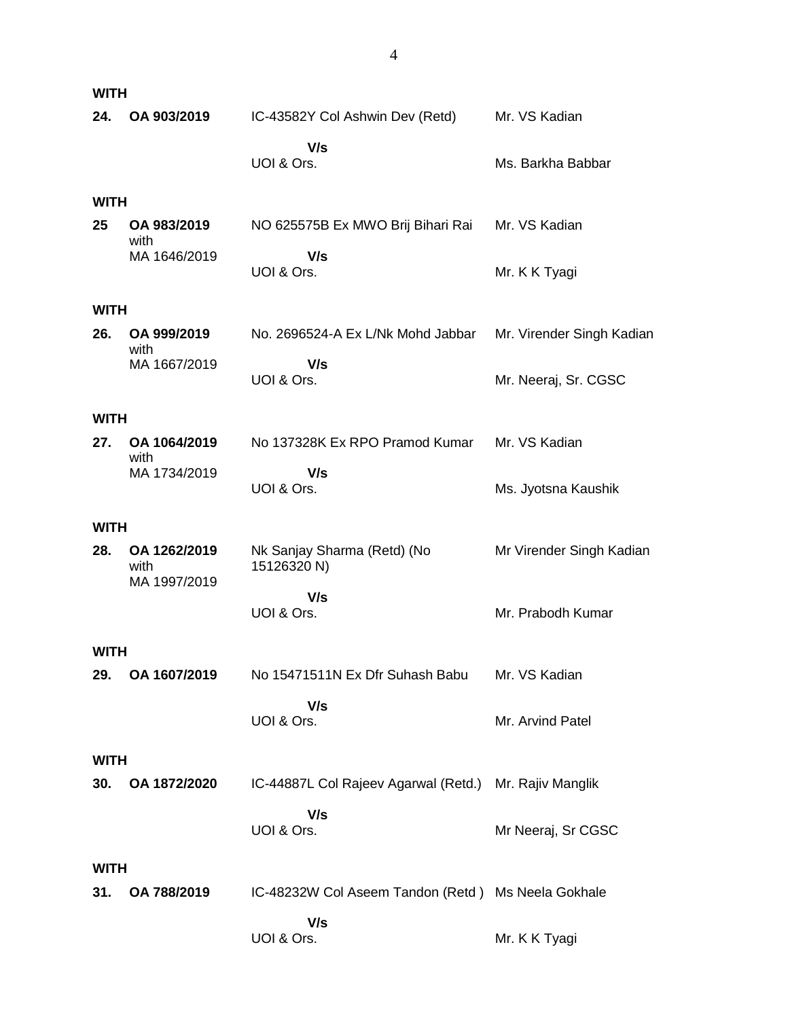| <b>WITH</b> |                                      |                                                    |                           |
|-------------|--------------------------------------|----------------------------------------------------|---------------------------|
| 24.         | OA 903/2019                          | IC-43582Y Col Ashwin Dev (Retd)                    | Mr. VS Kadian             |
|             |                                      | V/s<br>UOI & Ors.                                  | Ms. Barkha Babbar         |
| <b>WITH</b> |                                      |                                                    |                           |
| 25          | OA 983/2019<br>with                  | NO 625575B Ex MWO Brij Bihari Rai                  | Mr. VS Kadian             |
|             | MA 1646/2019                         | V/s<br>UOI & Ors.                                  | Mr. K K Tyagi             |
| <b>WITH</b> |                                      |                                                    |                           |
| 26.         | OA 999/2019<br>with                  | No. 2696524-A Ex L/Nk Mohd Jabbar                  | Mr. Virender Singh Kadian |
|             | MA 1667/2019                         | V/s<br>UOI & Ors.                                  | Mr. Neeraj, Sr. CGSC      |
| <b>WITH</b> |                                      |                                                    |                           |
| 27.         | OA 1064/2019<br>with                 | No 137328K Ex RPO Pramod Kumar                     | Mr. VS Kadian             |
|             | MA 1734/2019                         | V/s<br>UOI & Ors.                                  | Ms. Jyotsna Kaushik       |
| <b>WITH</b> |                                      |                                                    |                           |
| 28.         | OA 1262/2019<br>with<br>MA 1997/2019 | Nk Sanjay Sharma (Retd) (No<br>15126320 N)         | Mr Virender Singh Kadian  |
|             |                                      | V/s<br>UOI & Ors.                                  | Mr. Prabodh Kumar         |
| <b>WITH</b> |                                      |                                                    |                           |
| 29.         | OA 1607/2019                         | No 15471511N Ex Dfr Suhash Babu                    | Mr. VS Kadian             |
|             |                                      | V/s<br>UOI & Ors.                                  | Mr. Arvind Patel          |
| <b>WITH</b> |                                      |                                                    |                           |
| 30.         | OA 1872/2020                         | IC-44887L Col Rajeev Agarwal (Retd.)               | Mr. Rajiv Manglik         |
|             |                                      | V/s<br>UOI & Ors.                                  | Mr Neeraj, Sr CGSC        |
| <b>WITH</b> |                                      |                                                    |                           |
| 31.         | OA 788/2019                          | IC-48232W Col Aseem Tandon (Retd) Ms Neela Gokhale |                           |
|             |                                      | V/s<br>UOI & Ors.                                  | Mr. K K Tyagi             |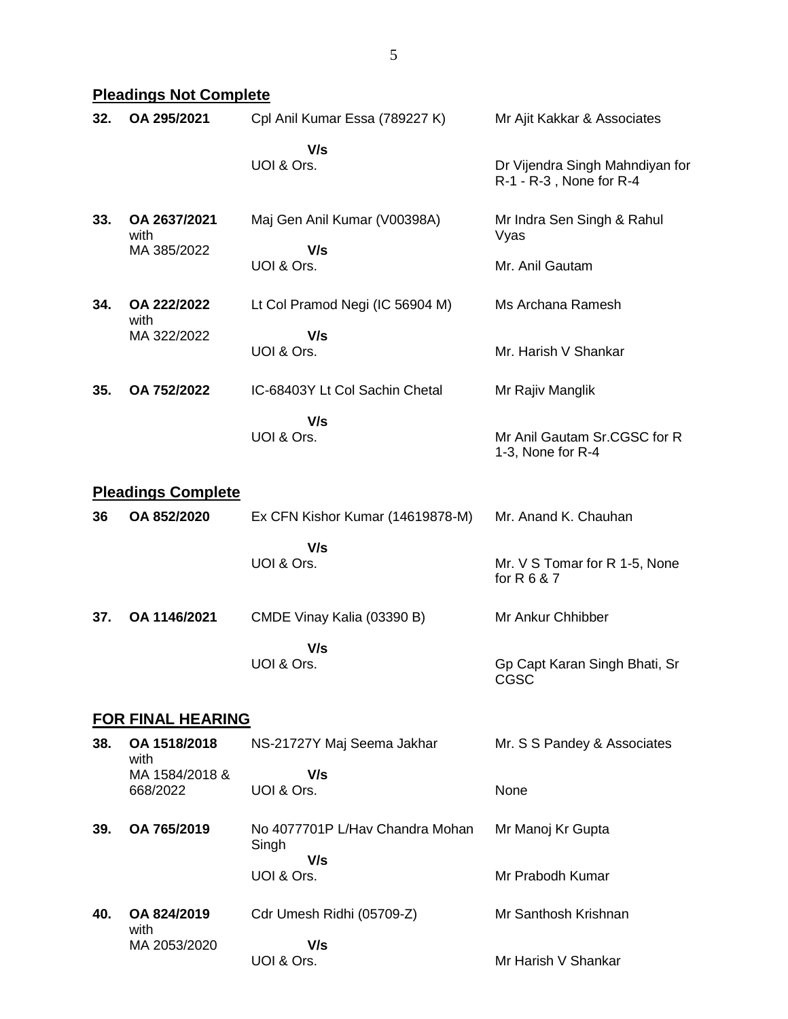## **Pleadings Not Complete**

| 32. | OA 295/2021                         | Cpl Anil Kumar Essa (789227 K)                  | Mr Ajit Kakkar & Associates                                |
|-----|-------------------------------------|-------------------------------------------------|------------------------------------------------------------|
|     |                                     | V/s<br>UOI & Ors.                               | Dr Vijendra Singh Mahndiyan for<br>R-1 - R-3, None for R-4 |
| 33. | OA 2637/2021<br>with<br>MA 385/2022 | Maj Gen Anil Kumar (V00398A)<br>V/s             | Mr Indra Sen Singh & Rahul<br>Vyas                         |
|     |                                     | UOI & Ors.                                      | Mr. Anil Gautam                                            |
| 34. | OA 222/2022<br>with                 | Lt Col Pramod Negi (IC 56904 M)                 | Ms Archana Ramesh                                          |
|     | MA 322/2022                         | V/s<br>UOI & Ors.                               | Mr. Harish V Shankar                                       |
| 35. | OA 752/2022                         | IC-68403Y Lt Col Sachin Chetal                  | Mr Rajiv Manglik                                           |
|     |                                     | V/s<br>UOI & Ors.                               | Mr Anil Gautam Sr.CGSC for R<br>1-3, None for R-4          |
|     | <b>Pleadings Complete</b>           |                                                 |                                                            |
| 36  | OA 852/2020                         | Ex CFN Kishor Kumar (14619878-M)                | Mr. Anand K. Chauhan                                       |
|     |                                     | V/s<br>UOI & Ors.                               | Mr. V S Tomar for R 1-5, None<br>for R 6 & 7               |
| 37. | OA 1146/2021                        | CMDE Vinay Kalia (03390 B)                      | Mr Ankur Chhibber                                          |
|     |                                     | V/s<br>UOI & Ors.                               | Gp Capt Karan Singh Bhati, Sr<br>CGSC                      |
|     | <b>FOR FINAL HEARING</b>            |                                                 |                                                            |
| 38. | OA 1518/2018<br>with                | NS-21727Y Maj Seema Jakhar                      | Mr. S S Pandey & Associates                                |
|     | MA 1584/2018 &<br>668/2022          | V/s<br>UOI & Ors.                               | None                                                       |
| 39. | OA 765/2019                         | No 4077701P L/Hay Chandra Mohan<br>Singh<br>V/s | Mr Manoj Kr Gupta                                          |
|     |                                     | UOI & Ors.                                      | Mr Prabodh Kumar                                           |

**40. OA 824/2019** with MA 2053/2020 Cdr Umesh Ridhi (05709-Z)  **V/s** UOI & Ors. Mr Santhosh Krishnan Mr Harish V Shankar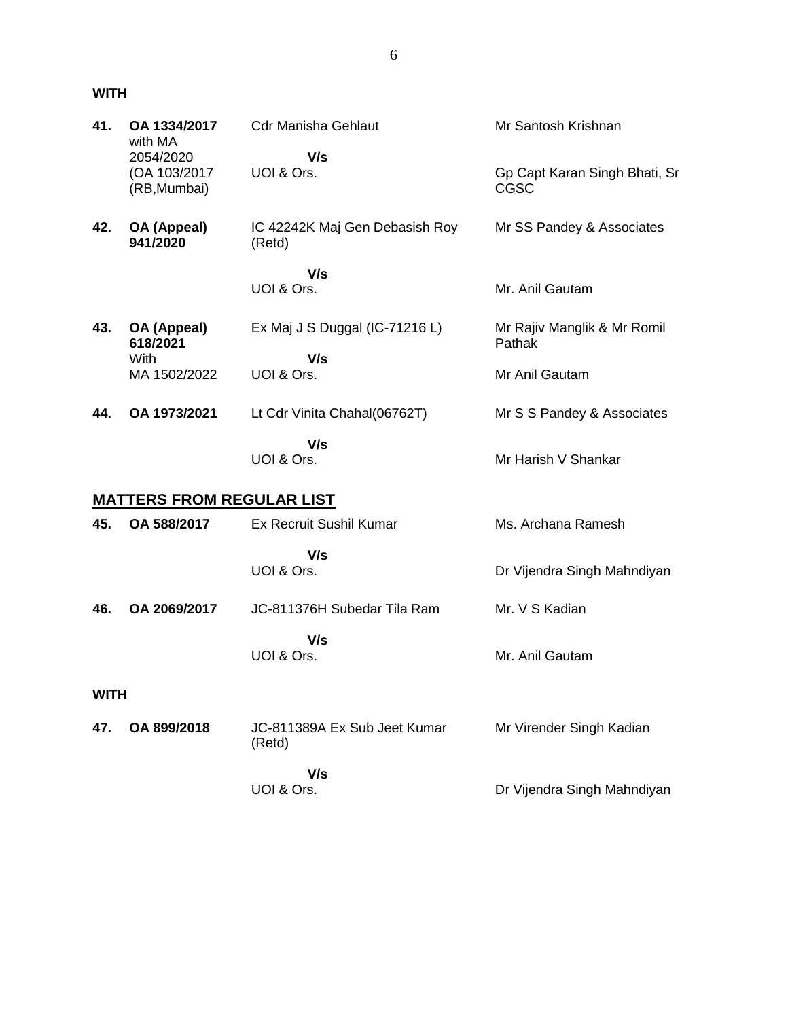#### **WITH**

| 41.         | OA 1334/2017<br>with MA          | <b>Cdr Manisha Gehlaut</b>               | Mr Santosh Krishnan                          |
|-------------|----------------------------------|------------------------------------------|----------------------------------------------|
|             | 2054/2020                        | V/s                                      |                                              |
|             | (OA 103/2017<br>(RB, Mumbai)     | UOI & Ors.                               | Gp Capt Karan Singh Bhati, Sr<br><b>CGSC</b> |
| 42.         | OA (Appeal)<br>941/2020          | IC 42242K Maj Gen Debasish Roy<br>(Retd) | Mr SS Pandey & Associates                    |
|             |                                  | V/s                                      |                                              |
|             |                                  | UOI & Ors.                               | Mr. Anil Gautam                              |
| 43.         | OA (Appeal)<br>618/2021          | Ex Maj J S Duggal (IC-71216 L)           | Mr Rajiv Manglik & Mr Romil<br>Pathak        |
|             | With<br>MA 1502/2022             | V/s<br>UOI & Ors.                        | Mr Anil Gautam                               |
| 44.         | OA 1973/2021                     | Lt Cdr Vinita Chahal(06762T)             | Mr S S Pandey & Associates                   |
|             |                                  | V/s<br>UOI & Ors.                        | Mr Harish V Shankar                          |
|             | <u>MATTERS FROM REGULAR LIST</u> |                                          |                                              |
| 45.         | OA 588/2017                      | <b>Ex Recruit Sushil Kumar</b>           | Ms. Archana Ramesh                           |
|             |                                  | V/s<br>UOI & Ors.                        | Dr Vijendra Singh Mahndiyan                  |
| 46.         | OA 2069/2017                     | JC-811376H Subedar Tila Ram              | Mr. V S Kadian                               |
|             |                                  | V/s<br>UOI & Ors.                        | Mr. Anil Gautam                              |
| <b>WITH</b> |                                  |                                          |                                              |
| 47.         | OA 899/2018                      | JC-811389A Ex Sub Jeet Kumar<br>(Retd)   | Mr Virender Singh Kadian                     |
|             |                                  | V/s<br>UOI & Ors.                        | Dr Vijendra Singh Mahndiyan                  |
|             |                                  |                                          |                                              |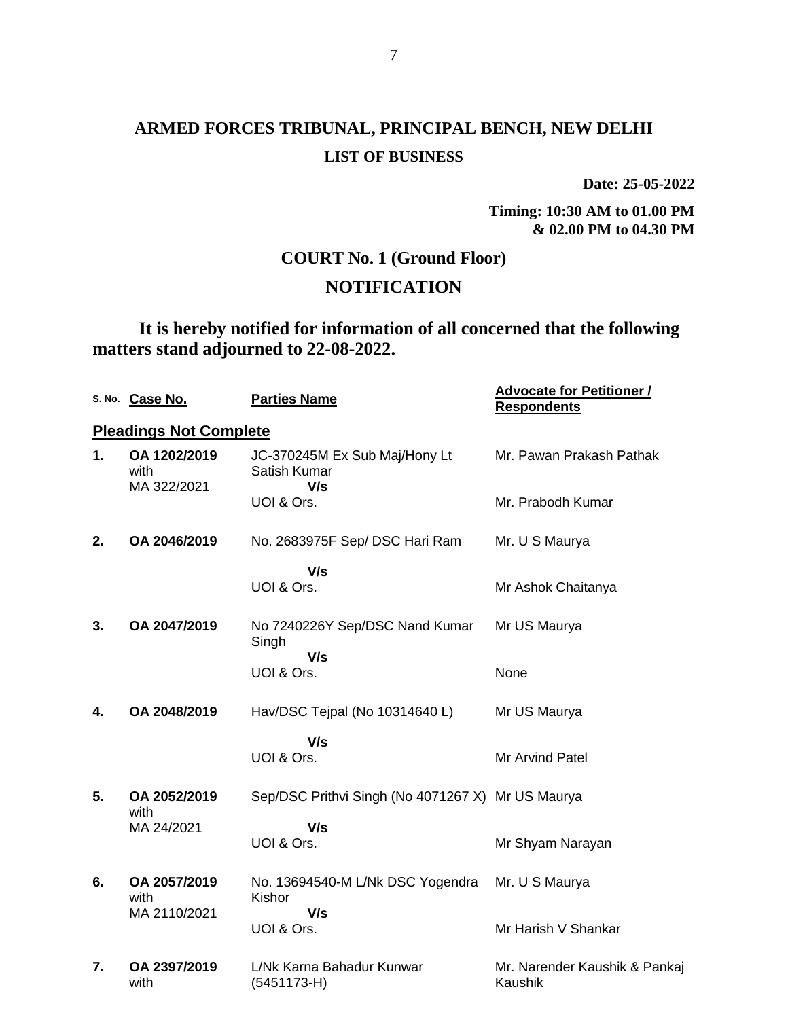## **ARMED FORCES TRIBUNAL, PRINCIPAL BENCH, NEW DELHI LIST OF BUSINESS**

**Date: 25-05-2022**

**Timing: 10:30 AM to 01.00 PM & 02.00 PM to 04.30 PM**

## **COURT No. 1 (Ground Floor)**

## **NOTIFICATION**

**It is hereby notified for information of all concerned that the following matters stand adjourned to 22-08-2022.**

|    | S. No. Case No.                     | <b>Parties Name</b>                                  | <b>Advocate for Petitioner /</b><br><b>Respondents</b> |
|----|-------------------------------------|------------------------------------------------------|--------------------------------------------------------|
|    | <b>Pleadings Not Complete</b>       |                                                      |                                                        |
| 1. | OA 1202/2019<br>with<br>MA 322/2021 | JC-370245M Ex Sub Maj/Hony Lt<br>Satish Kumar<br>V/s | Mr. Pawan Prakash Pathak                               |
|    |                                     | UOI & Ors.                                           | Mr. Prabodh Kumar                                      |
| 2. | OA 2046/2019                        | No. 2683975F Sep/ DSC Hari Ram                       | Mr. U S Maurya                                         |
|    |                                     | V/s                                                  |                                                        |
|    |                                     | UOI & Ors.                                           | Mr Ashok Chaitanya                                     |
| 3. | OA 2047/2019                        | No 7240226Y Sep/DSC Nand Kumar<br>Singh<br>V/s       | Mr US Maurya                                           |
|    |                                     | UOI & Ors.                                           | None                                                   |
| 4. | OA 2048/2019                        | Hav/DSC Tejpal (No 10314640 L)                       | Mr US Maurya                                           |
|    |                                     | V/s                                                  |                                                        |
|    |                                     | UOI & Ors.                                           | Mr Arvind Patel                                        |
| 5. | OA 2052/2019<br>with                | Sep/DSC Prithvi Singh (No 4071267 X) Mr US Maurya    |                                                        |
|    | MA 24/2021                          | V/s                                                  |                                                        |
|    |                                     | UOI & Ors.                                           | Mr Shyam Narayan                                       |
| 6. | OA 2057/2019<br>with                | No. 13694540-M L/Nk DSC Yogendra<br>Kishor           | Mr. U S Maurya                                         |
|    | MA 2110/2021                        | V/s                                                  |                                                        |
|    |                                     | UOI & Ors.                                           | Mr Harish V Shankar                                    |
| 7. | OA 2397/2019<br>with                | L/Nk Karna Bahadur Kunwar<br>(5451173-H)             | Mr. Narender Kaushik & Pankaj<br>Kaushik               |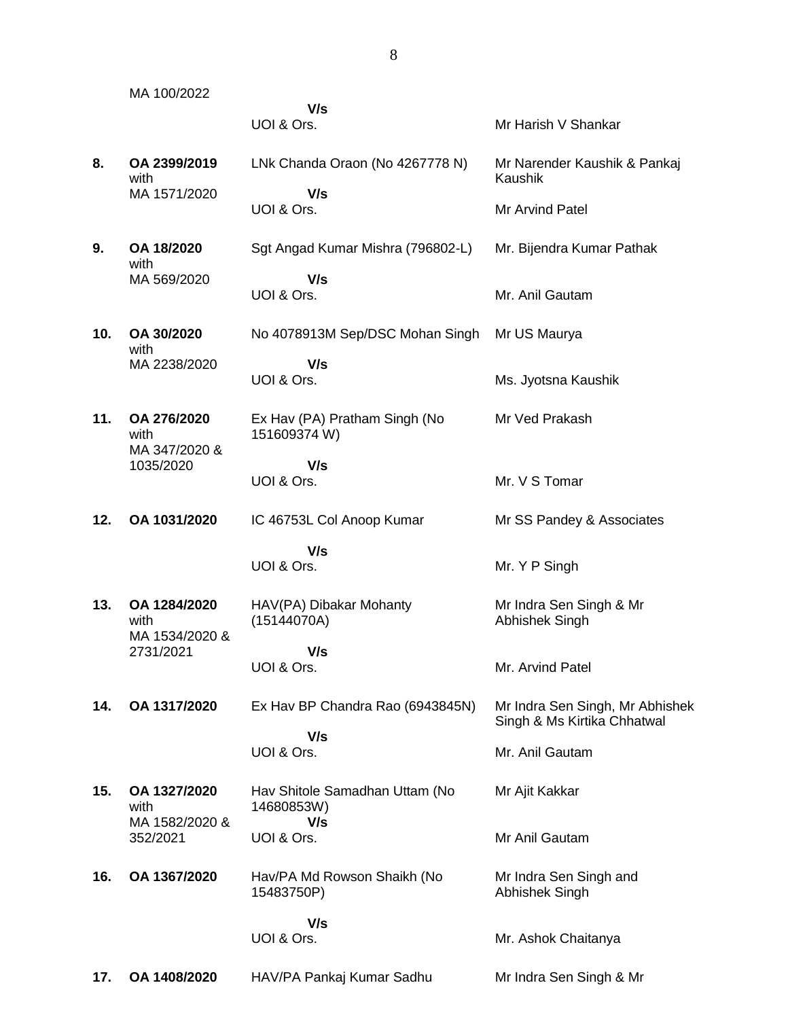MA 100/2022  **V/s** UOI & Ors. **Mr Harish V Shankar 8. OA 2399/2019** with MA 1571/2020 LNk Chanda Oraon (No 4267778 N)  **V/s** UOI & Ors. Mr Narender Kaushik & Pankaj Kaushik Mr Arvind Patel **9. OA 18/2020** with MA 569/2020 Sgt Angad Kumar Mishra (796802-L)  **V/s** UOI & Ors. Mr. Bijendra Kumar Pathak Mr. Anil Gautam **10. OA 30/2020** with MA 2238/2020 No 4078913M Sep/DSC Mohan Singh  **V/s** UOI & Ors. Mr US Maurya Ms. Jyotsna Kaushik **11. OA 276/2020** with MA 347/2020 & 1035/2020 Ex Hav (PA) Pratham Singh (No 151609374 W)  **V/s** UOI & Ors. Mr Ved Prakash Mr. V S Tomar **12. OA 1031/2020** IC 46753L Col Anoop Kumar  **V/s** UOI & Ors. Mr SS Pandey & Associates Mr. Y P Singh **13. OA 1284/2020** with MA 1534/2020 & 2731/2021 HAV(PA) Dibakar Mohanty (15144070A)  **V/s** UOI & Ors. Mr Indra Sen Singh & Mr Abhishek Singh Mr. Arvind Patel **14. OA 1317/2020** Ex Hav BP Chandra Rao (6943845N)  **V/s** UOI & Ors. Mr Indra Sen Singh, Mr Abhishek Singh & Ms Kirtika Chhatwal Mr. Anil Gautam **15. OA 1327/2020** with MA 1582/2020 & 352/2021 Hav Shitole Samadhan Uttam (No 14680853W)  **V/s** UOI & Ors. Mr Ajit Kakkar Mr Anil Gautam **16. OA 1367/2020** Hav/PA Md Rowson Shaikh (No 15483750P)  **V/s** UOI & Ors. Mr Indra Sen Singh and Abhishek Singh Mr. Ashok Chaitanya

**17. OA 1408/2020** HAV/PA Pankaj Kumar Sadhu Mr Indra Sen Singh & Mr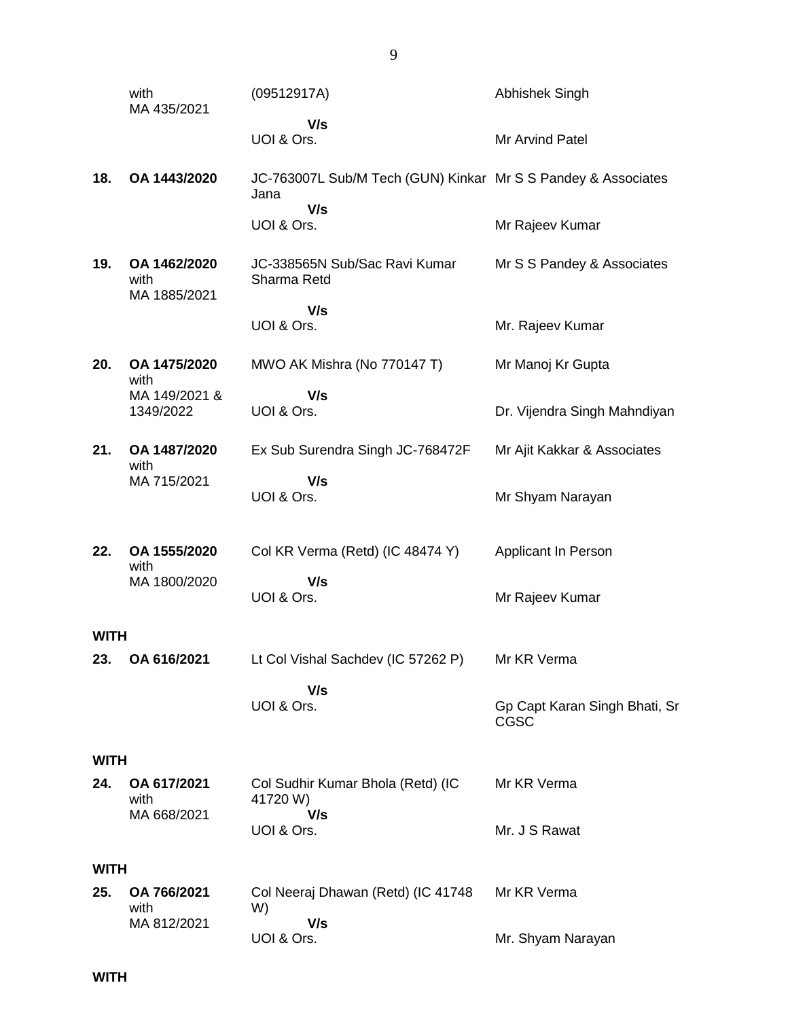|             | with<br>MA 435/2021                  | (09512917A)                                                           | <b>Abhishek Singh</b>                 |
|-------------|--------------------------------------|-----------------------------------------------------------------------|---------------------------------------|
|             |                                      | V/s<br>UOI & Ors.                                                     | Mr Arvind Patel                       |
| 18.         | OA 1443/2020                         | JC-763007L Sub/M Tech (GUN) Kinkar Mr S S Pandey & Associates<br>Jana |                                       |
|             |                                      | V/s<br>UOI & Ors.                                                     | Mr Rajeev Kumar                       |
| 19.         | OA 1462/2020<br>with<br>MA 1885/2021 | JC-338565N Sub/Sac Ravi Kumar<br>Sharma Retd                          | Mr S S Pandey & Associates            |
|             |                                      | V/s<br>UOI & Ors.                                                     | Mr. Rajeev Kumar                      |
| 20.         | OA 1475/2020<br>with                 | MWO AK Mishra (No 770147 T)                                           | Mr Manoj Kr Gupta                     |
|             | MA 149/2021 &<br>1349/2022           | V/s<br>UOI & Ors.                                                     | Dr. Vijendra Singh Mahndiyan          |
| 21.         | OA 1487/2020<br>with                 | Ex Sub Surendra Singh JC-768472F                                      | Mr Ajit Kakkar & Associates           |
|             | MA 715/2021                          | V/s<br>UOI & Ors.                                                     | Mr Shyam Narayan                      |
| 22.         | OA 1555/2020<br>with                 | Col KR Verma (Retd) (IC 48474 Y)                                      | Applicant In Person                   |
|             | MA 1800/2020                         | V/s<br>UOI & Ors.                                                     | Mr Rajeev Kumar                       |
| <b>WITH</b> |                                      |                                                                       |                                       |
| 23.         | OA 616/2021                          | Lt Col Vishal Sachdev (IC 57262 P)                                    | Mr KR Verma                           |
|             |                                      | V/s<br>UOI & Ors.                                                     | Gp Capt Karan Singh Bhati, Sr<br>CGSC |
| <b>WITH</b> |                                      |                                                                       |                                       |
| 24.         | OA 617/2021<br>with                  | Col Sudhir Kumar Bhola (Retd) (IC<br>41720 W)                         | Mr KR Verma                           |
|             | MA 668/2021                          | V/s<br>UOI & Ors.                                                     | Mr. J S Rawat                         |
| <b>WITH</b> |                                      |                                                                       |                                       |
| 25.         | OA 766/2021<br>with                  | Col Neeraj Dhawan (Retd) (IC 41748<br>W)                              | Mr KR Verma                           |
|             | MA 812/2021                          | V/s<br>UOI & Ors.                                                     | Mr. Shyam Narayan                     |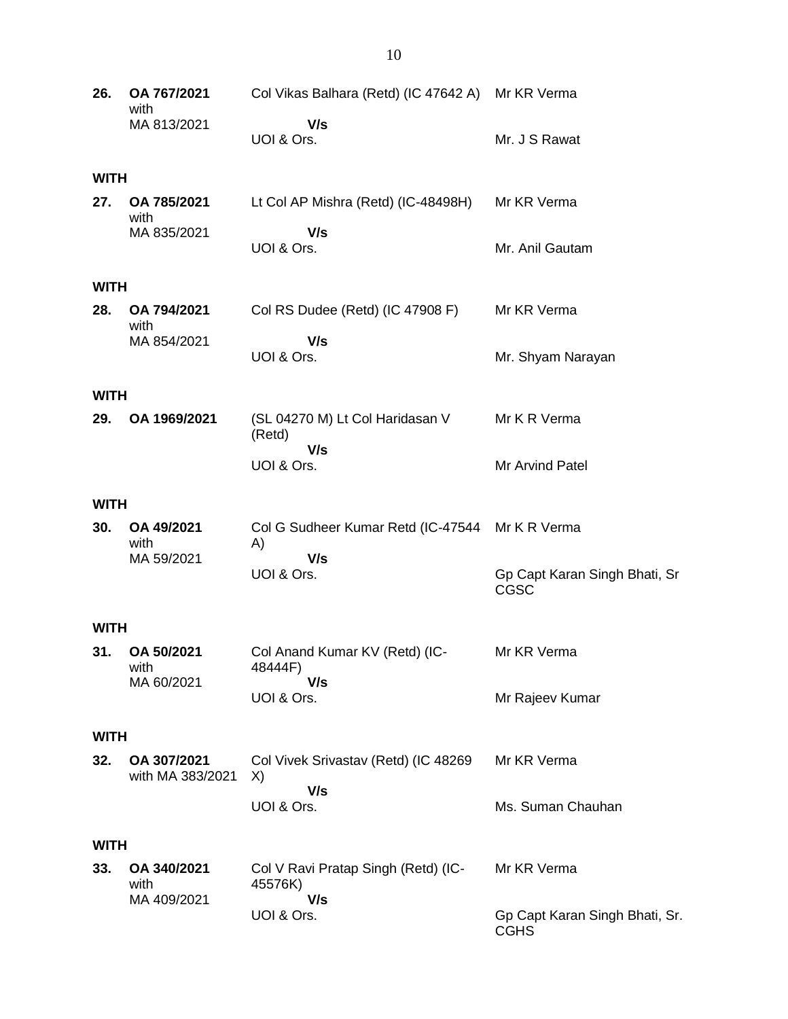| 26.  | OA 767/2021<br>with             | Col Vikas Balhara (Retd) (IC 47642 A) Mr KR Verma     |                                               |
|------|---------------------------------|-------------------------------------------------------|-----------------------------------------------|
|      | MA 813/2021                     | V/s<br>UOI & Ors.                                     | Mr. J S Rawat                                 |
| WITH |                                 |                                                       |                                               |
| 27.  | OA 785/2021<br>with             | Lt Col AP Mishra (Retd) (IC-48498H)                   | Mr KR Verma                                   |
|      | MA 835/2021                     | V/s<br>UOI & Ors.                                     | Mr. Anil Gautam                               |
| WITH |                                 |                                                       |                                               |
| 28.  | OA 794/2021<br>with             | Col RS Dudee (Retd) (IC 47908 F)                      | Mr KR Verma                                   |
|      | MA 854/2021                     | V/s<br>UOI & Ors.                                     | Mr. Shyam Narayan                             |
| WITH |                                 |                                                       |                                               |
| 29.  | OA 1969/2021                    | (SL 04270 M) Lt Col Haridasan V<br>(Retd)             | Mr K R Verma                                  |
|      |                                 | V/s<br>UOI & Ors.                                     | Mr Arvind Patel                               |
| WITH |                                 |                                                       |                                               |
| 30.  | OA 49/2021<br>with              | Col G Sudheer Kumar Retd (IC-47544 Mr K R Verma<br>A) |                                               |
|      | MA 59/2021                      | V/s<br>UOI & Ors.                                     | Gp Capt Karan Singh Bhati, Sr<br>CGSC         |
| WITH |                                 |                                                       |                                               |
| 31.  | OA 50/2021<br>with              | Col Anand Kumar KV (Retd) (IC-<br>48444F)             | Mr KR Verma                                   |
|      | MA 60/2021                      | V/s<br>UOI & Ors.                                     | Mr Rajeev Kumar                               |
| WITH |                                 |                                                       |                                               |
| 32.  | OA 307/2021<br>with MA 383/2021 | Col Vivek Srivastav (Retd) (IC 48269<br>X)            | Mr KR Verma                                   |
|      |                                 | V/s<br>UOI & Ors.                                     | Ms. Suman Chauhan                             |
| WITH |                                 |                                                       |                                               |
| 33.  | OA 340/2021<br>with             | Col V Ravi Pratap Singh (Retd) (IC-<br>45576K)        | Mr KR Verma                                   |
|      | MA 409/2021                     | V/s<br>UOI & Ors.                                     | Gp Capt Karan Singh Bhati, Sr.<br><b>CGHS</b> |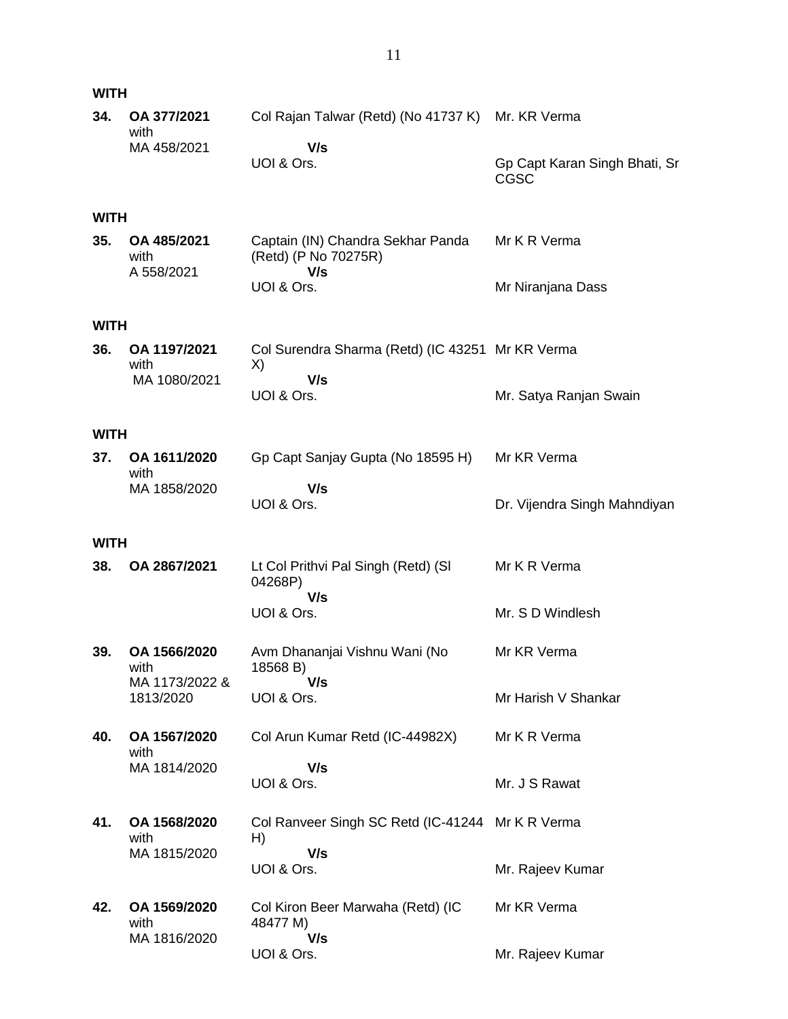| <b>WITH</b> |                                   |                                                                  |                                              |
|-------------|-----------------------------------|------------------------------------------------------------------|----------------------------------------------|
| 34.         | OA 377/2021<br>with               | Col Rajan Talwar (Retd) (No 41737 K) Mr. KR Verma                |                                              |
|             | MA 458/2021                       | V/s<br>UOI & Ors.                                                | Gp Capt Karan Singh Bhati, Sr<br><b>CGSC</b> |
| <b>WITH</b> |                                   |                                                                  |                                              |
| 35.         | OA 485/2021<br>with<br>A 558/2021 | Captain (IN) Chandra Sekhar Panda<br>(Retd) (P No 70275R)<br>V/s | Mr K R Verma                                 |
|             |                                   | UOI & Ors.                                                       | Mr Niranjana Dass                            |
| <b>WITH</b> |                                   |                                                                  |                                              |
| 36.         | OA 1197/2021<br>with              | Col Surendra Sharma (Retd) (IC 43251 Mr KR Verma<br>X)           |                                              |
|             | MA 1080/2021                      | V/s<br>UOI & Ors.                                                | Mr. Satya Ranjan Swain                       |
| <b>WITH</b> |                                   |                                                                  |                                              |
| 37.         | OA 1611/2020<br>with              | Gp Capt Sanjay Gupta (No 18595 H)                                | Mr KR Verma                                  |
|             | MA 1858/2020                      | V/s<br>UOI & Ors.                                                | Dr. Vijendra Singh Mahndiyan                 |
| <b>WITH</b> |                                   |                                                                  |                                              |
| 38.         | OA 2867/2021                      | Lt Col Prithvi Pal Singh (Retd) (SI<br>04268P)                   | Mr K R Verma                                 |
|             |                                   | V/s<br>UOI & Ors.                                                | Mr. S D Windlesh                             |
| 39.         | OA 1566/2020<br>with              | Avm Dhananjai Vishnu Wani (No<br>18568 B)                        | Mr KR Verma                                  |
|             | MA 1173/2022 &<br>1813/2020       | V/s<br>UOI & Ors.                                                | Mr Harish V Shankar                          |
| 40.         | OA 1567/2020<br>with              | Col Arun Kumar Retd (IC-44982X)                                  | Mr K R Verma                                 |
|             | MA 1814/2020                      | V/s<br>UOI & Ors.                                                | Mr. J S Rawat                                |
| 41.         | OA 1568/2020<br>with              | Col Ranveer Singh SC Retd (IC-41244 Mr K R Verma<br>H)           |                                              |
|             | MA 1815/2020                      | V/s<br>UOI & Ors.                                                | Mr. Rajeev Kumar                             |
| 42.         | OA 1569/2020<br>with              | Col Kiron Beer Marwaha (Retd) (IC<br>48477 M)                    | Mr KR Verma                                  |
|             | MA 1816/2020                      | V/s<br>UOI & Ors.                                                | Mr. Rajeev Kumar                             |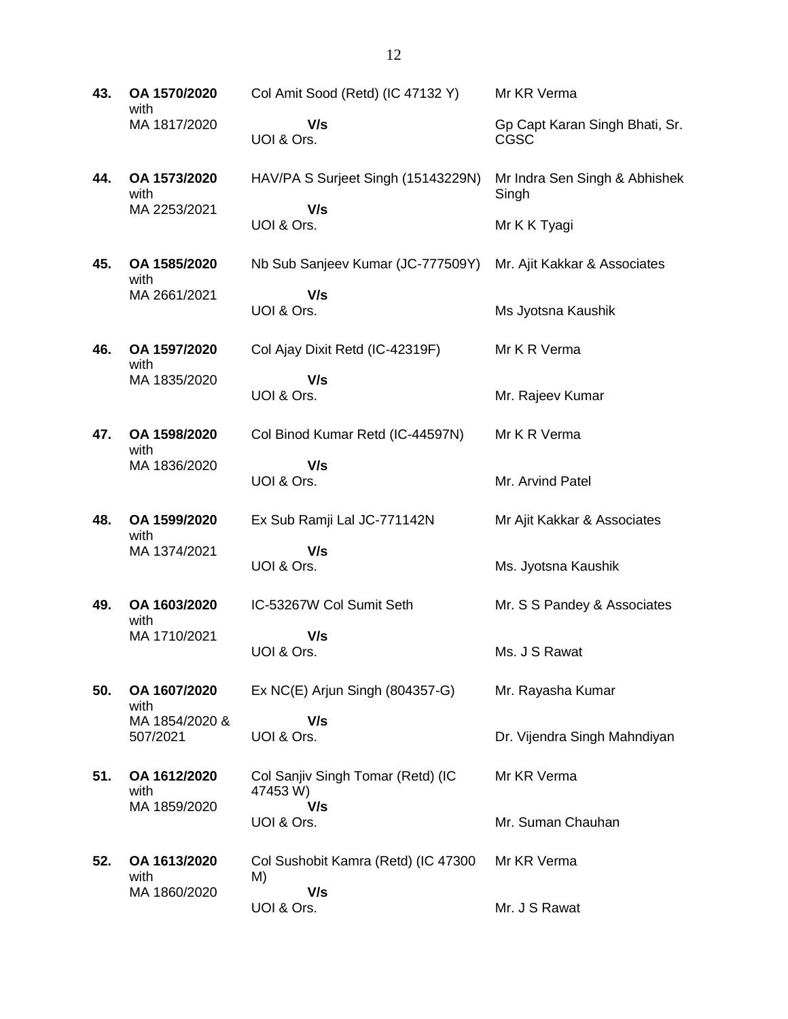**43. OA 1570/2020** with MA 1817/2020 Col Amit Sood (Retd) (IC 47132 Y)  **V/s** UOI & Ors. Mr KR Verma Gp Capt Karan Singh Bhati, Sr. CGSC

**44. OA 1573/2020** with MA 2253/2021 HAV/PA S Surjeet Singh (15143229N)  **V/s** UOI & Ors. Mr Indra Sen Singh & Abhishek **Singh** Mr K K Tyagi

Mr. Ajit Kakkar & Associates

Ms Jyotsna Kaushik

Mr K R Verma

Mr K R Verma

Mr. Arvind Patel

Mr Ajit Kakkar & Associates

Mr. S S Pandey & Associates

Dr. Vijendra Singh Mahndiyan

Ms. Jyotsna Kaushik

Ms. J S Rawat

Mr KR Verma

Mr. Rayasha Kumar

Mr. Suman Chauhan

Mr. Rajeev Kumar

Nb Sub Sanjeev Kumar (JC-777509Y)

Col Ajay Dixit Retd (IC-42319F)

**45. OA 1585/2020** with MA 2661/2021

 **V/s** UOI & Ors.

**46. OA 1597/2020** with MA 1835/2020

 **V/s** UOI & Ors.

**47. OA 1598/2020** with MA 1836/2020 Col Binod Kumar Retd (IC-44597N)

UOI & Ors.

 **V/s**

- **48. OA 1599/2020** with MA 1374/2021 Ex Sub Ramji Lal JC-771142N  **V/s** UOI & Ors.
- **49. OA 1603/2020** with MA 1710/2021 IC-53267W Col Sumit Seth  **V/s** UOI & Ors.

**50. OA 1607/2020** with MA 1854/2020 & Ex NC(E) Arjun Singh (804357-G)  **V/s**

UOI & Ors.

**51. OA 1612/2020** with MA 1859/2020 Col Sanjiv Singh Tomar (Retd) (IC 47453 W)  **V/s** UOI & Ors.

507/2021

**52. OA 1613/2020** with MA 1860/2020 Col Sushobit Kamra (Retd) (IC 47300 M)  **V/s** UOI & Ors. Mr KR Verma Mr. J S Rawat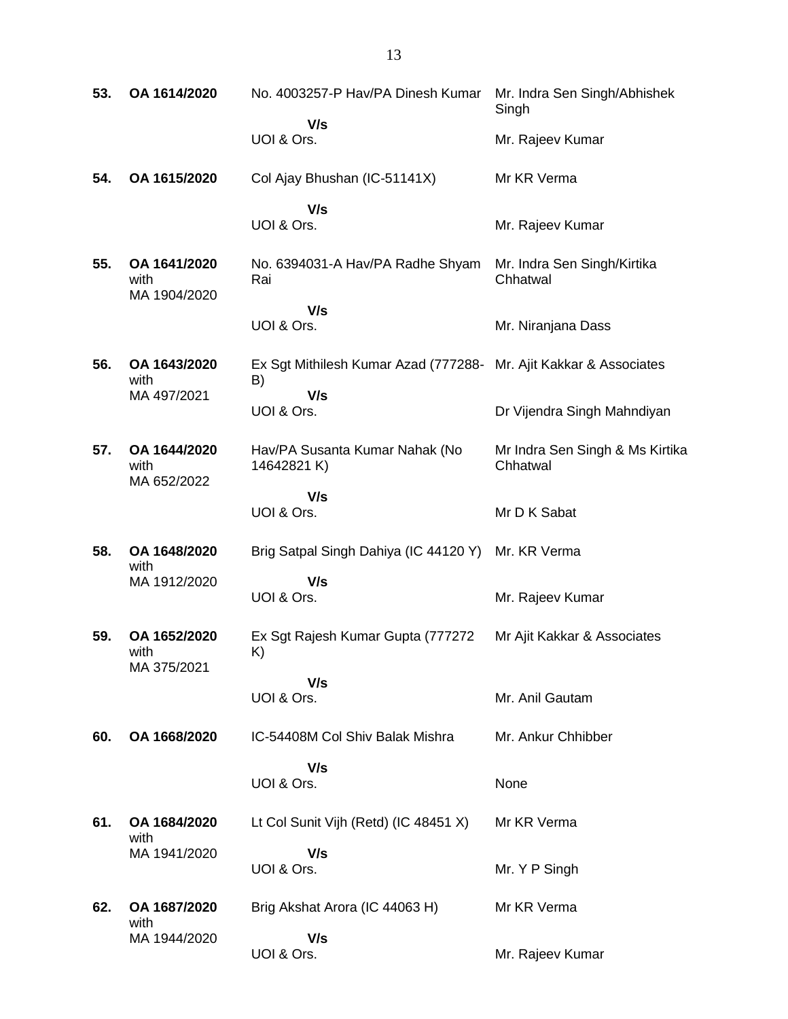| 53. | OA 1614/2020                         | No. 4003257-P Hav/PA Dinesh Kumar                                       | Mr. Indra Sen Singh/Abhishek<br>Singh       |
|-----|--------------------------------------|-------------------------------------------------------------------------|---------------------------------------------|
|     |                                      | V/s<br>UOI & Ors.                                                       | Mr. Rajeev Kumar                            |
| 54. | OA 1615/2020                         | Col Ajay Bhushan (IC-51141X)                                            | Mr KR Verma                                 |
|     |                                      | V/s<br>UOI & Ors.                                                       | Mr. Rajeev Kumar                            |
| 55. | OA 1641/2020<br>with<br>MA 1904/2020 | No. 6394031-A Hav/PA Radhe Shyam<br>Rai                                 | Mr. Indra Sen Singh/Kirtika<br>Chhatwal     |
|     |                                      | V/s                                                                     |                                             |
|     |                                      | UOI & Ors.                                                              | Mr. Niranjana Dass                          |
| 56. | OA 1643/2020<br>with                 | Ex Sgt Mithilesh Kumar Azad (777288- Mr. Ajit Kakkar & Associates<br>B) |                                             |
|     | MA 497/2021                          | V/s<br>UOI & Ors.                                                       | Dr Vijendra Singh Mahndiyan                 |
|     |                                      |                                                                         |                                             |
| 57. | OA 1644/2020<br>with<br>MA 652/2022  | Hav/PA Susanta Kumar Nahak (No<br>14642821 K)                           | Mr Indra Sen Singh & Ms Kirtika<br>Chhatwal |
|     |                                      | V/s                                                                     |                                             |
|     |                                      | UOI & Ors.                                                              | Mr D K Sabat                                |
| 58. | OA 1648/2020<br>with                 | Brig Satpal Singh Dahiya (IC 44120 Y) Mr. KR Verma                      |                                             |
|     | MA 1912/2020                         | V/s                                                                     |                                             |
|     |                                      | UOI & Ors.                                                              | Mr. Rajeev Kumar                            |
| 59. | OA 1652/2020<br>with                 | Ex Sgt Rajesh Kumar Gupta (777272)<br>K)                                | Mr Ajit Kakkar & Associates                 |
|     | MA 375/2021                          | V/s                                                                     |                                             |
|     |                                      | UOI & Ors.                                                              | Mr. Anil Gautam                             |
| 60. | OA 1668/2020                         | IC-54408M Col Shiv Balak Mishra                                         | Mr. Ankur Chhibber                          |
|     |                                      | V/s                                                                     |                                             |
|     |                                      | UOI & Ors.                                                              | None                                        |
| 61. | OA 1684/2020<br>with                 | Lt Col Sunit Vijh (Retd) (IC 48451 X)                                   | Mr KR Verma                                 |
|     | MA 1941/2020                         | V/s                                                                     |                                             |
|     |                                      | UOI & Ors.                                                              | Mr. Y P Singh                               |
| 62. | OA 1687/2020<br>with                 | Brig Akshat Arora (IC 44063 H)                                          | Mr KR Verma                                 |
|     | MA 1944/2020                         | V/s                                                                     |                                             |
|     |                                      | UOI & Ors.                                                              | Mr. Rajeev Kumar                            |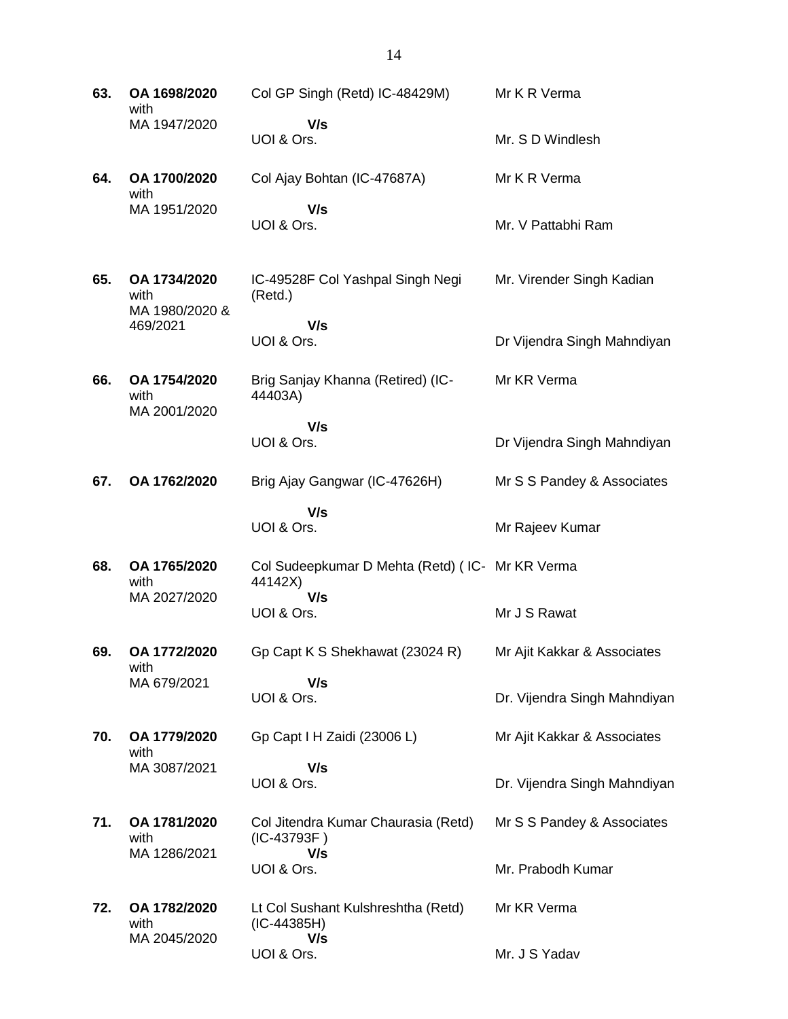**63. OA 1698/2020** with MA 1947/2020 Col GP Singh (Retd) IC-48429M)  **V/s** UOI & Ors. Mr K R Verma Mr. S D Windlesh **64. OA 1700/2020** with MA 1951/2020 Col Ajay Bohtan (IC-47687A)  **V/s** UOI & Ors. Mr K R Verma Mr. V Pattabhi Ram **65. OA 1734/2020** with MA 1980/2020 & 469/2021 IC-49528F Col Yashpal Singh Negi (Retd.)  **V/s** UOI & Ors. Mr. Virender Singh Kadian Dr Vijendra Singh Mahndiyan **66. OA 1754/2020** with MA 2001/2020 Brig Sanjay Khanna (Retired) (IC-44403A)  **V/s** UOI & Ors. Mr KR Verma Dr Vijendra Singh Mahndiyan **67. OA 1762/2020** Brig Ajay Gangwar (IC-47626H)  **V/s** UOI & Ors. Mr S S Pandey & Associates Mr Rajeev Kumar **68. OA 1765/2020** with MA 2027/2020 Col Sudeepkumar D Mehta (Retd) ( IC-Mr KR Verma 44142X)  **V/s** UOI & Ors. Mr J S Rawat **69. OA 1772/2020** with MA 679/2021 Gp Capt K S Shekhawat (23024 R)  **V/s** UOI & Ors. Mr Ajit Kakkar & Associates Dr. Vijendra Singh Mahndiyan **70. OA 1779/2020** with MA 3087/2021 Gp Capt I H Zaidi (23006 L)  **V/s** UOI & Ors. Mr Ajit Kakkar & Associates Dr. Vijendra Singh Mahndiyan **71. OA 1781/2020** with MA 1286/2021 Col Jitendra Kumar Chaurasia (Retd) (IC-43793F )  **V/s** UOI & Ors. Mr S S Pandey & Associates Mr. Prabodh Kumar **72. OA 1782/2020** with MA 2045/2020 Lt Col Sushant Kulshreshtha (Retd) (IC-44385H)  **V/s** Mr KR Verma

Mr. J S Yadav

UOI & Ors.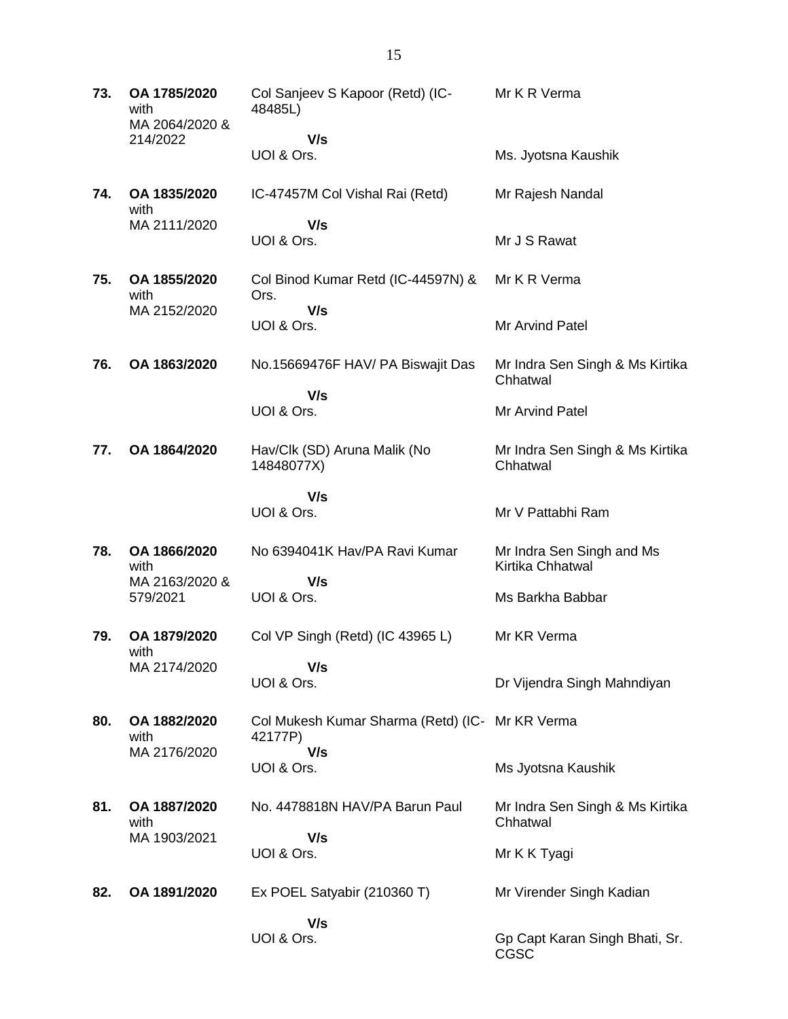| 73. | OA 1785/2020<br>with<br>MA 2064/2020 &<br>214/2022 | Col Sanjeev S Kapoor (Retd) (IC-<br>48485L)                | Mr K R Verma                                  |
|-----|----------------------------------------------------|------------------------------------------------------------|-----------------------------------------------|
|     |                                                    | V/s<br>UOI & Ors.                                          | Ms. Jyotsna Kaushik                           |
| 74. | OA 1835/2020<br>with                               | IC-47457M Col Vishal Rai (Retd)                            | Mr Rajesh Nandal                              |
|     | MA 2111/2020                                       | V/s<br>UOI & Ors.                                          | Mr J S Rawat                                  |
| 75. | OA 1855/2020<br>with                               | Col Binod Kumar Retd (IC-44597N) &<br>Ors.                 | Mr K R Verma                                  |
|     | MA 2152/2020                                       | V/s<br>UOI & Ors.                                          | Mr Arvind Patel                               |
| 76. | OA 1863/2020                                       | No.15669476F HAV/ PA Biswajit Das                          | Mr Indra Sen Singh & Ms Kirtika<br>Chhatwal   |
|     |                                                    | V/s<br>UOI & Ors.                                          | Mr Arvind Patel                               |
| 77. | OA 1864/2020                                       | Hav/Clk (SD) Aruna Malik (No<br>14848077X)                 | Mr Indra Sen Singh & Ms Kirtika<br>Chhatwal   |
|     |                                                    | V/s<br>UOI & Ors.                                          | Mr V Pattabhi Ram                             |
| 78. | OA 1866/2020<br>with                               | No 6394041K Hav/PA Ravi Kumar                              | Mr Indra Sen Singh and Ms<br>Kirtika Chhatwal |
|     | MA 2163/2020 &<br>579/2021                         | V/s<br>UOI & Ors.                                          | Ms Barkha Babbar                              |
| 79. | OA 1879/2020<br>with                               | Col VP Singh (Retd) (IC 43965 L)                           | Mr KR Verma                                   |
|     | MA 2174/2020                                       | V/s<br>UOI & Ors.                                          | Dr Vijendra Singh Mahndiyan                   |
| 80. | OA 1882/2020<br>with                               | Col Mukesh Kumar Sharma (Retd) (IC- Mr KR Verma<br>42177P) |                                               |
|     | MA 2176/2020                                       | V/s<br>UOI & Ors.                                          | Ms Jyotsna Kaushik                            |
| 81. | OA 1887/2020<br>with                               | No. 4478818N HAV/PA Barun Paul                             | Mr Indra Sen Singh & Ms Kirtika<br>Chhatwal   |
|     | MA 1903/2021                                       | V/s<br>UOI & Ors.                                          | Mr K K Tyagi                                  |
| 82. | OA 1891/2020                                       | Ex POEL Satyabir (210360 T)                                | Mr Virender Singh Kadian                      |
|     |                                                    | V/s<br>UOI & Ors.                                          | Gp Capt Karan Singh Bhati, Sr.<br>CGSC        |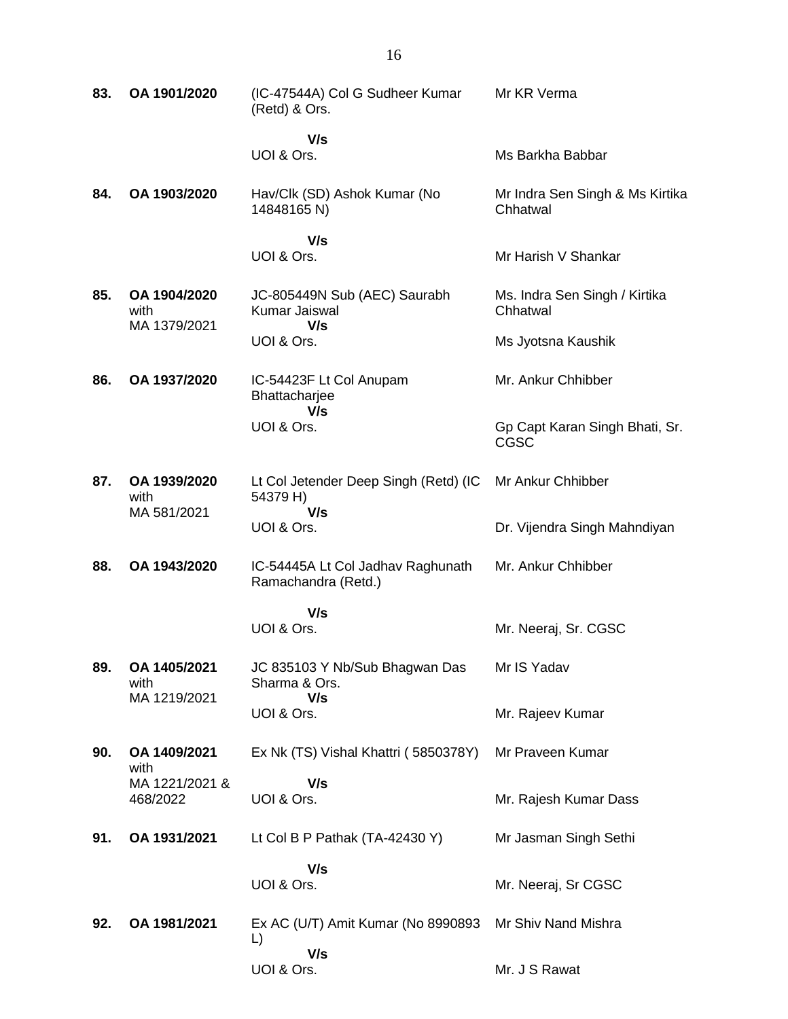| 83. | OA 1901/2020                         | (IC-47544A) Col G Sudheer Kumar<br>(Retd) & Ors.         | Mr KR Verma                                 |
|-----|--------------------------------------|----------------------------------------------------------|---------------------------------------------|
|     |                                      | V/s<br>UOI & Ors.                                        | Ms Barkha Babbar                            |
| 84. | OA 1903/2020                         | Hav/Clk (SD) Ashok Kumar (No<br>14848165 N)              | Mr Indra Sen Singh & Ms Kirtika<br>Chhatwal |
|     |                                      | V/s<br>UOI & Ors.                                        | Mr Harish V Shankar                         |
| 85. | OA 1904/2020<br>with<br>MA 1379/2021 | JC-805449N Sub (AEC) Saurabh<br>Kumar Jaiswal<br>V/s     | Ms. Indra Sen Singh / Kirtika<br>Chhatwal   |
|     |                                      | UOI & Ors.                                               | Ms Jyotsna Kaushik                          |
| 86. | OA 1937/2020                         | IC-54423F Lt Col Anupam<br>Bhattacharjee<br>V/s          | Mr. Ankur Chhibber                          |
|     |                                      | UOI & Ors.                                               | Gp Capt Karan Singh Bhati, Sr.<br>CGSC      |
| 87. | OA 1939/2020<br>with<br>MA 581/2021  | Lt Col Jetender Deep Singh (Retd) (IC<br>54379 H)<br>V/s | Mr Ankur Chhibber                           |
|     |                                      | UOI & Ors.                                               | Dr. Vijendra Singh Mahndiyan                |
| 88. | OA 1943/2020                         | IC-54445A Lt Col Jadhav Raghunath<br>Ramachandra (Retd.) | Mr. Ankur Chhibber                          |
|     |                                      | V/s                                                      |                                             |
|     |                                      | UOI & Ors.                                               | Mr. Neeraj, Sr. CGSC                        |
| 89. | OA 1405/2021<br>with<br>MA 1219/2021 | JC 835103 Y Nb/Sub Bhagwan Das<br>Sharma & Ors.<br>V/s   | Mr IS Yadav                                 |
|     |                                      | UOI & Ors.                                               | Mr. Rajeev Kumar                            |
| 90. | OA 1409/2021<br>with                 | Ex Nk (TS) Vishal Khattri (5850378Y)                     | Mr Praveen Kumar                            |
|     | MA 1221/2021 &<br>468/2022           | V/s<br>UOI & Ors.                                        | Mr. Rajesh Kumar Dass                       |
| 91. | OA 1931/2021                         | Lt Col B P Pathak (TA-42430 Y)                           | Mr Jasman Singh Sethi                       |
|     |                                      | V/s<br>UOI & Ors.                                        | Mr. Neeraj, Sr CGSC                         |
| 92. | OA 1981/2021                         | Ex AC (U/T) Amit Kumar (No 8990893<br>L)                 | Mr Shiv Nand Mishra                         |
|     |                                      | V/s<br>UOI & Ors.                                        | Mr. J S Rawat                               |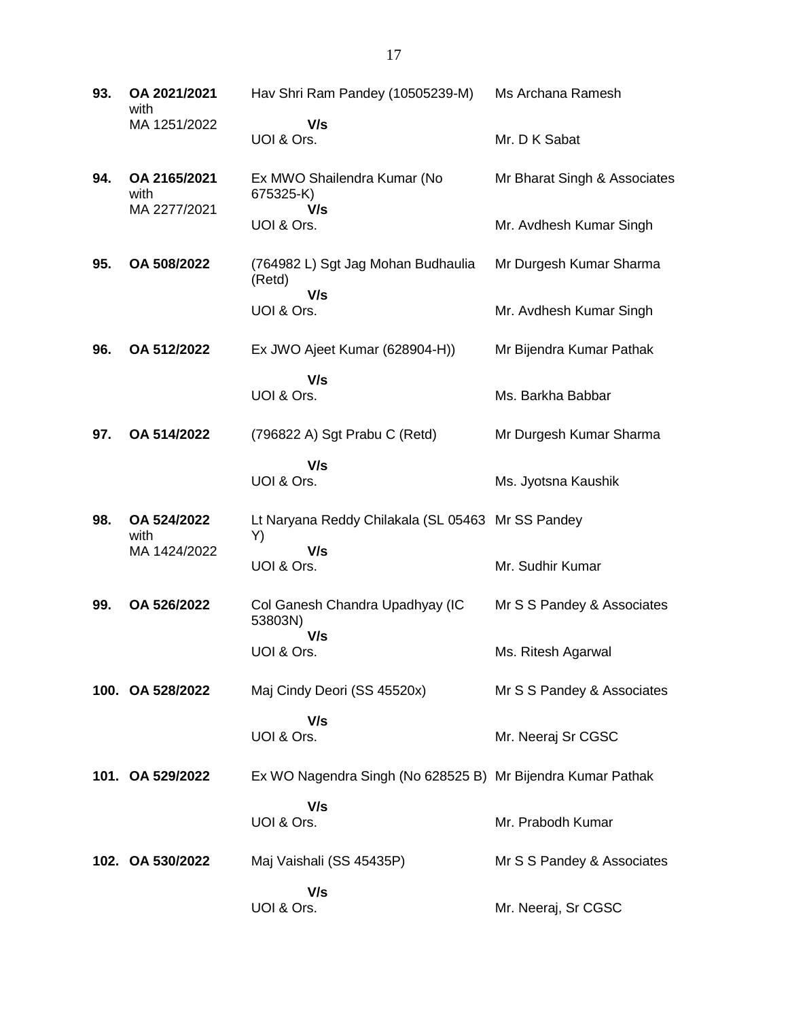**93. OA 2021/2021** with MA 1251/2022 Hav Shri Ram Pandey (10505239-M)  **V/s** UOI & Ors. Ms Archana Ramesh Mr. D K Sabat **94. OA 2165/2021** with MA 2277/2021 Ex MWO Shailendra Kumar (No 675325-K)  **V/s** UOI & Ors. Mr Bharat Singh & Associates Mr. Avdhesh Kumar Singh **95. OA 508/2022** (764982 L) Sgt Jag Mohan Budhaulia (Retd)  **V/s** UOI & Ors. Mr Durgesh Kumar Sharma Mr. Avdhesh Kumar Singh **96. OA 512/2022** Ex JWO Ajeet Kumar (628904-H))  **V/s** UOI & Ors. Mr Bijendra Kumar Pathak Ms. Barkha Babbar **97. OA 514/2022** (796822 A) Sgt Prabu C (Retd)  **V/s** UOI & Ors. Mr Durgesh Kumar Sharma Ms. Jyotsna Kaushik **98. OA 524/2022** with MA 1424/2022 Lt Naryana Reddy Chilakala (SL 05463 Mr SS Pandey Y)  **V/s** UOI & Ors. Mr. Sudhir Kumar **99. OA 526/2022** Col Ganesh Chandra Upadhyay (IC 53803N)  **V/s** UOI & Ors. Mr S S Pandey & Associates Ms. Ritesh Agarwal **100. OA 528/2022** Maj Cindy Deori (SS 45520x)  **V/s** UOI & Ors. Mr S S Pandey & Associates Mr. Neeraj Sr CGSC **101. OA 529/2022** Ex WO Nagendra Singh (No 628525 B) Mr Bijendra Kumar Pathak  **V/s** UOI & Ors. Mr. Prabodh Kumar **102. OA 530/2022** Maj Vaishali (SS 45435P)  **V/s** UOI & Ors. Mr S S Pandey & Associates Mr. Neeraj, Sr CGSC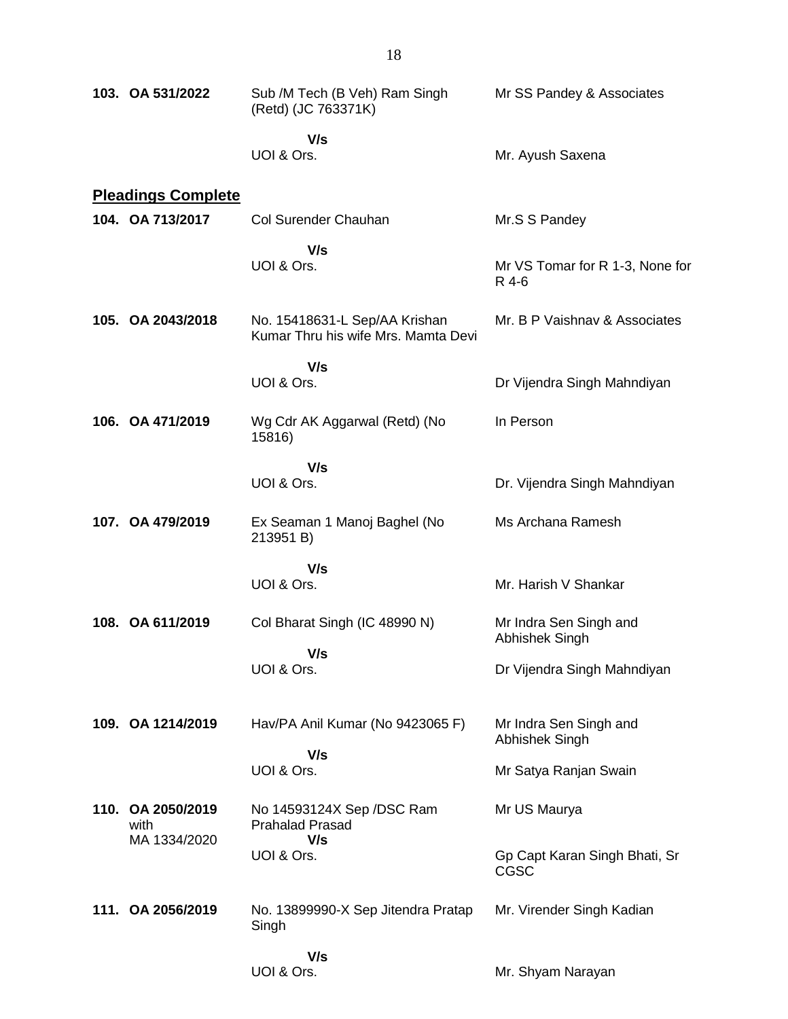| 103. OA 531/2022                          | Sub /M Tech (B Veh) Ram Singh<br>(Retd) (JC 763371K)                 | Mr SS Pandey & Associates                    |
|-------------------------------------------|----------------------------------------------------------------------|----------------------------------------------|
|                                           | V/s<br>UOI & Ors.                                                    | Mr. Ayush Saxena                             |
| <b>Pleadings Complete</b>                 |                                                                      |                                              |
| 104. OA 713/2017                          | Col Surender Chauhan                                                 | Mr.S S Pandey                                |
|                                           | V/s<br>UOI & Ors.                                                    | Mr VS Tomar for R 1-3, None for<br>R 4-6     |
| 105. OA 2043/2018                         | No. 15418631-L Sep/AA Krishan<br>Kumar Thru his wife Mrs. Mamta Devi | Mr. B P Vaishnav & Associates                |
|                                           | V/s                                                                  |                                              |
|                                           | UOI & Ors.                                                           | Dr Vijendra Singh Mahndiyan                  |
| 106. OA 471/2019                          | Wg Cdr AK Aggarwal (Retd) (No<br>15816)                              | In Person                                    |
|                                           | V/s                                                                  |                                              |
|                                           | UOI & Ors.                                                           | Dr. Vijendra Singh Mahndiyan                 |
| 107. OA 479/2019                          | Ex Seaman 1 Manoj Baghel (No<br>213951 B)                            | Ms Archana Ramesh                            |
|                                           | V/s                                                                  |                                              |
|                                           | UOI & Ors.                                                           | Mr. Harish V Shankar                         |
| 108. OA 611/2019                          | Col Bharat Singh (IC 48990 N)                                        | Mr Indra Sen Singh and<br>Abhishek Singh     |
|                                           | V/s<br>UOI & Ors.                                                    | Dr Vijendra Singh Mahndiyan                  |
| 109. OA 1214/2019                         | Hav/PA Anil Kumar (No 9423065 F)                                     | Mr Indra Sen Singh and<br>Abhishek Singh     |
|                                           | V/s<br>UOI & Ors.                                                    | Mr Satya Ranjan Swain                        |
|                                           |                                                                      |                                              |
| 110. OA 2050/2019<br>with<br>MA 1334/2020 | No 14593124X Sep /DSC Ram<br><b>Prahalad Prasad</b><br>V/s           | Mr US Maurya                                 |
|                                           | UOI & Ors.                                                           | Gp Capt Karan Singh Bhati, Sr<br><b>CGSC</b> |
| 111. OA 2056/2019                         | No. 13899990-X Sep Jitendra Pratap<br>Singh                          | Mr. Virender Singh Kadian                    |
|                                           | V/s                                                                  |                                              |
|                                           | UOI & Ors.                                                           | Mr. Shyam Narayan                            |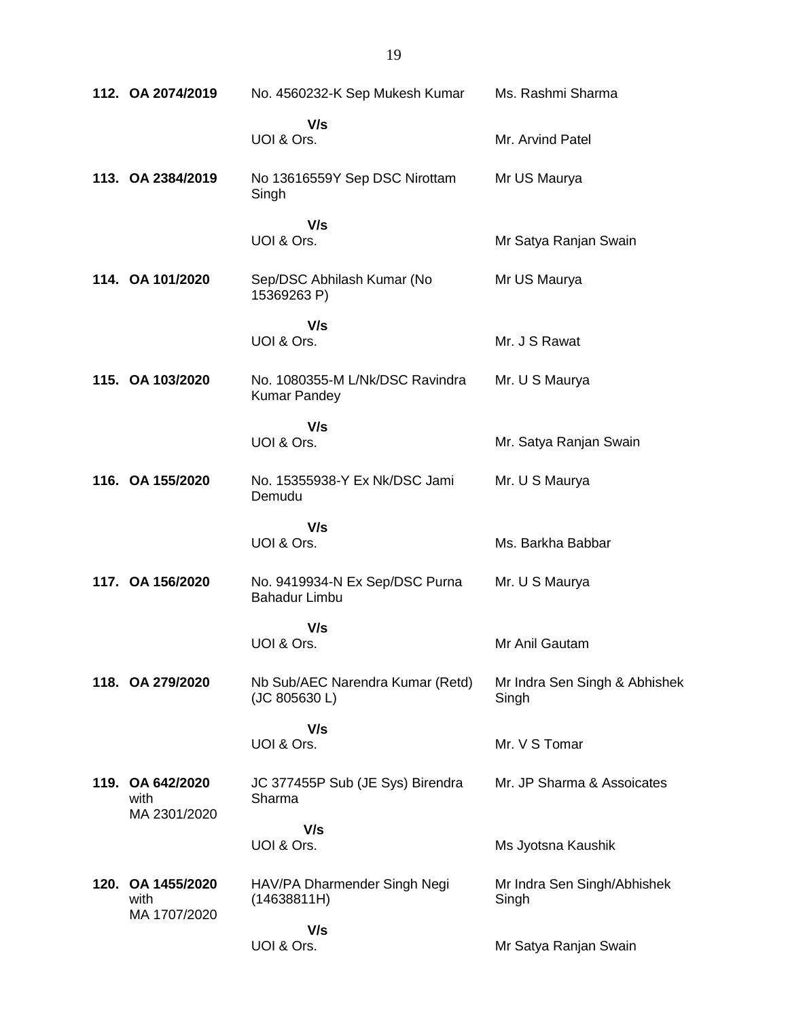|      | 112. OA 2074/2019                        | No. 4560232-K Sep Mukesh Kumar                         | Ms. Rashmi Sharma                      |
|------|------------------------------------------|--------------------------------------------------------|----------------------------------------|
|      |                                          | V/s<br>UOI & Ors.                                      | Mr. Arvind Patel                       |
|      | 113. OA 2384/2019                        | No 13616559Y Sep DSC Nirottam<br>Singh                 | Mr US Maurya                           |
|      |                                          | V/s<br>UOI & Ors.                                      | Mr Satya Ranjan Swain                  |
|      | 114. OA 101/2020                         | Sep/DSC Abhilash Kumar (No<br>15369263 P)              | Mr US Maurya                           |
|      |                                          | V/s<br>UOI & Ors.                                      | Mr. J S Rawat                          |
|      | 115. OA 103/2020                         | No. 1080355-M L/Nk/DSC Ravindra<br><b>Kumar Pandey</b> | Mr. U S Maurya                         |
|      |                                          | V/s<br>UOI & Ors.                                      | Mr. Satya Ranjan Swain                 |
|      | 116. OA 155/2020                         | No. 15355938-Y Ex Nk/DSC Jami<br>Demudu                | Mr. U S Maurya                         |
|      |                                          | V/s<br>UOI & Ors.                                      | Ms. Barkha Babbar                      |
|      | 117. OA 156/2020                         | No. 9419934-N Ex Sep/DSC Purna<br><b>Bahadur Limbu</b> | Mr. U S Maurya                         |
|      |                                          | V/s<br>UOI & Ors.                                      | Mr Anil Gautam                         |
|      | 118. OA 279/2020                         | Nb Sub/AEC Narendra Kumar (Retd)<br>(JC 805630 L)      | Mr Indra Sen Singh & Abhishek<br>Singh |
|      |                                          | V/s<br>UOI & Ors.                                      | Mr. V S Tomar                          |
|      | 119. OA 642/2020<br>with<br>MA 2301/2020 | JC 377455P Sub (JE Sys) Birendra<br>Sharma             | Mr. JP Sharma & Assoicates             |
|      |                                          | V/s<br>UOI & Ors.                                      | Ms Jyotsna Kaushik                     |
| 120. | OA 1455/2020<br>with<br>MA 1707/2020     | HAV/PA Dharmender Singh Negi<br>(14638811H)            | Mr Indra Sen Singh/Abhishek<br>Singh   |
|      |                                          | V/s<br>UOI & Ors.                                      | Mr Satya Ranjan Swain                  |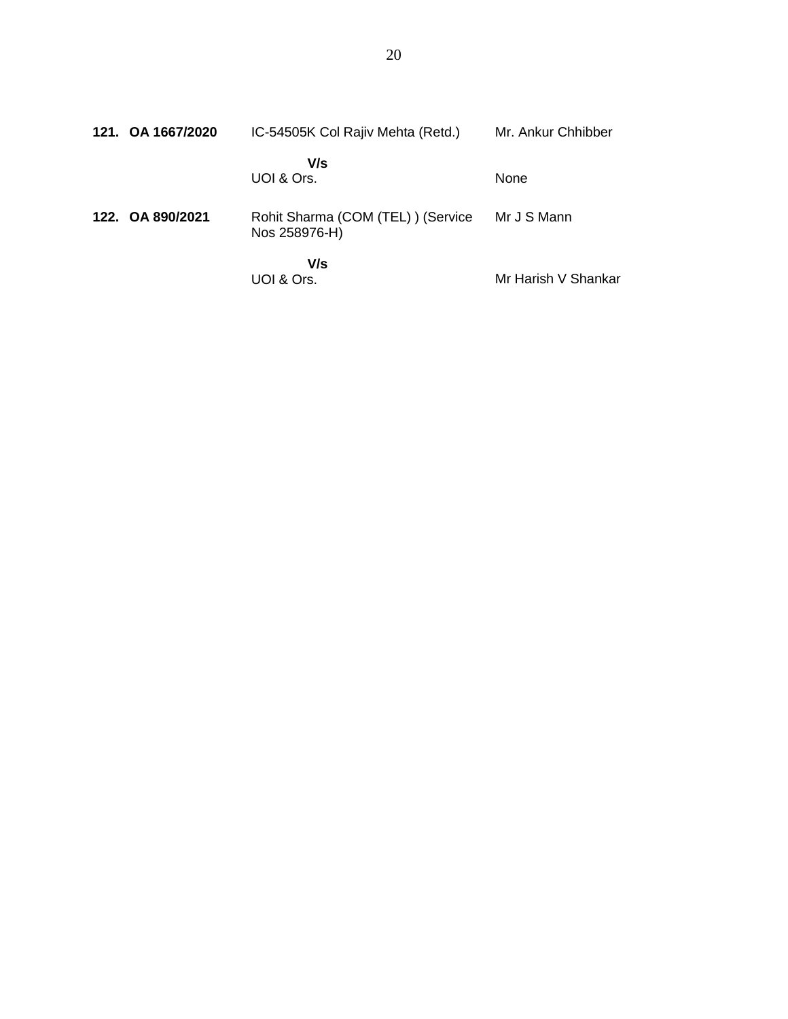| 121. OA 1667/2020 | IC-54505K Col Rajiv Mehta (Retd.)                  | Mr. Ankur Chhibber  |
|-------------------|----------------------------------------------------|---------------------|
|                   | V/s<br>UOI & Ors.                                  | <b>None</b>         |
| 122. OA 890/2021  | Rohit Sharma (COM (TEL)) (Service<br>Nos 258976-H) | Mr J S Mann         |
|                   | V/s<br>UOI & Ors.                                  | Mr Harish V Shankar |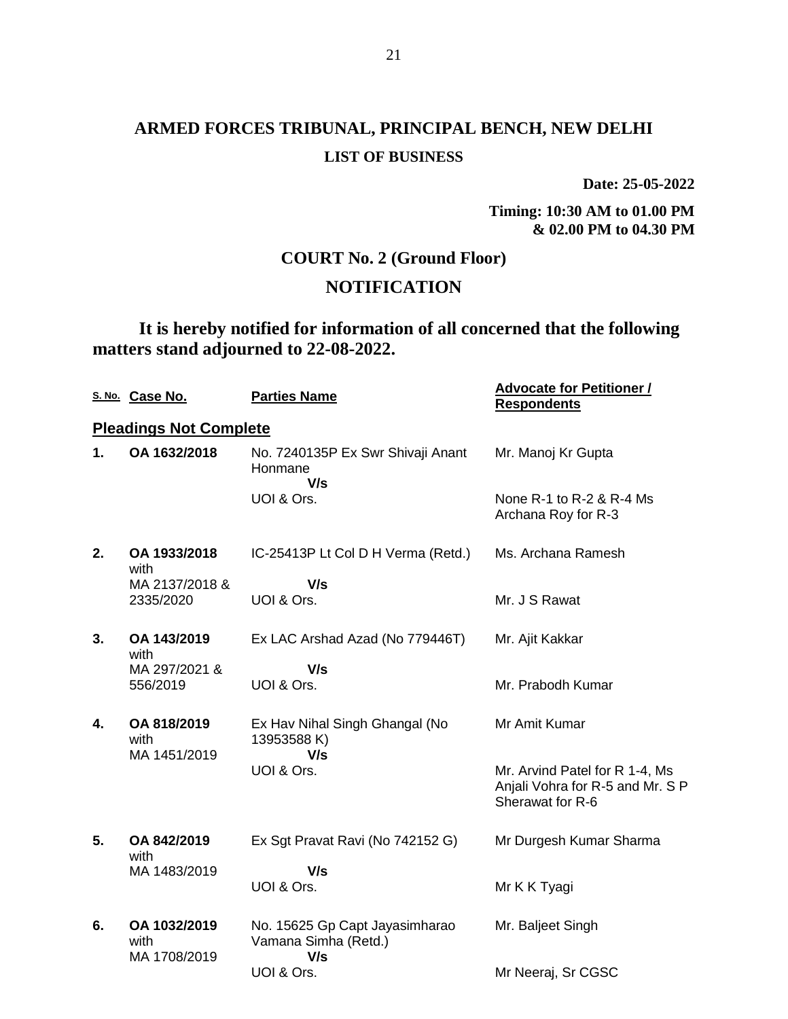## **ARMED FORCES TRIBUNAL, PRINCIPAL BENCH, NEW DELHI LIST OF BUSINESS**

**Date: 25-05-2022**

**Timing: 10:30 AM to 01.00 PM & 02.00 PM to 04.30 PM**

## **COURT No. 2 (Ground Floor)**

## **NOTIFICATION**

**It is hereby notified for information of all concerned that the following matters stand adjourned to 22-08-2022.**

|    | S. No. Case No.                      | <b>Parties Name</b>                                           | <b>Advocate for Petitioner /</b><br><b>Respondents</b>                                 |
|----|--------------------------------------|---------------------------------------------------------------|----------------------------------------------------------------------------------------|
|    | <b>Pleadings Not Complete</b>        |                                                               |                                                                                        |
| 1. | OA 1632/2018                         | No. 7240135P Ex Swr Shivaji Anant<br>Honmane<br>V/s           | Mr. Manoj Kr Gupta                                                                     |
|    |                                      | UOI & Ors.                                                    | None $R-1$ to $R-2$ & $R-4$ Ms<br>Archana Roy for R-3                                  |
| 2. | OA 1933/2018<br>with                 | IC-25413P Lt Col D H Verma (Retd.)                            | Ms. Archana Ramesh                                                                     |
|    | MA 2137/2018 &<br>2335/2020          | V/s<br>UOI & Ors.                                             | Mr. J S Rawat                                                                          |
| 3. | OA 143/2019<br>with                  | Ex LAC Arshad Azad (No 779446T)                               | Mr. Ajit Kakkar                                                                        |
|    | MA 297/2021 &<br>556/2019            | V/s<br>UOI & Ors.                                             | Mr. Prabodh Kumar                                                                      |
| 4. | OA 818/2019<br>with                  | Ex Hav Nihal Singh Ghangal (No<br>13953588 K)                 | Mr Amit Kumar                                                                          |
|    | MA 1451/2019                         | V/s<br>UOI & Ors.                                             | Mr. Arvind Patel for R 1-4, Ms<br>Anjali Vohra for R-5 and Mr. S P<br>Sherawat for R-6 |
| 5. | OA 842/2019<br>with                  | Ex Sgt Pravat Ravi (No 742152 G)                              | Mr Durgesh Kumar Sharma                                                                |
|    | MA 1483/2019                         | V/s<br>UOI & Ors.                                             | Mr K K Tyagi                                                                           |
| 6. | OA 1032/2019<br>with<br>MA 1708/2019 | No. 15625 Gp Capt Jayasimharao<br>Vamana Simha (Retd.)<br>V/s | Mr. Baljeet Singh                                                                      |
|    |                                      | UOI & Ors.                                                    | Mr Neeraj, Sr CGSC                                                                     |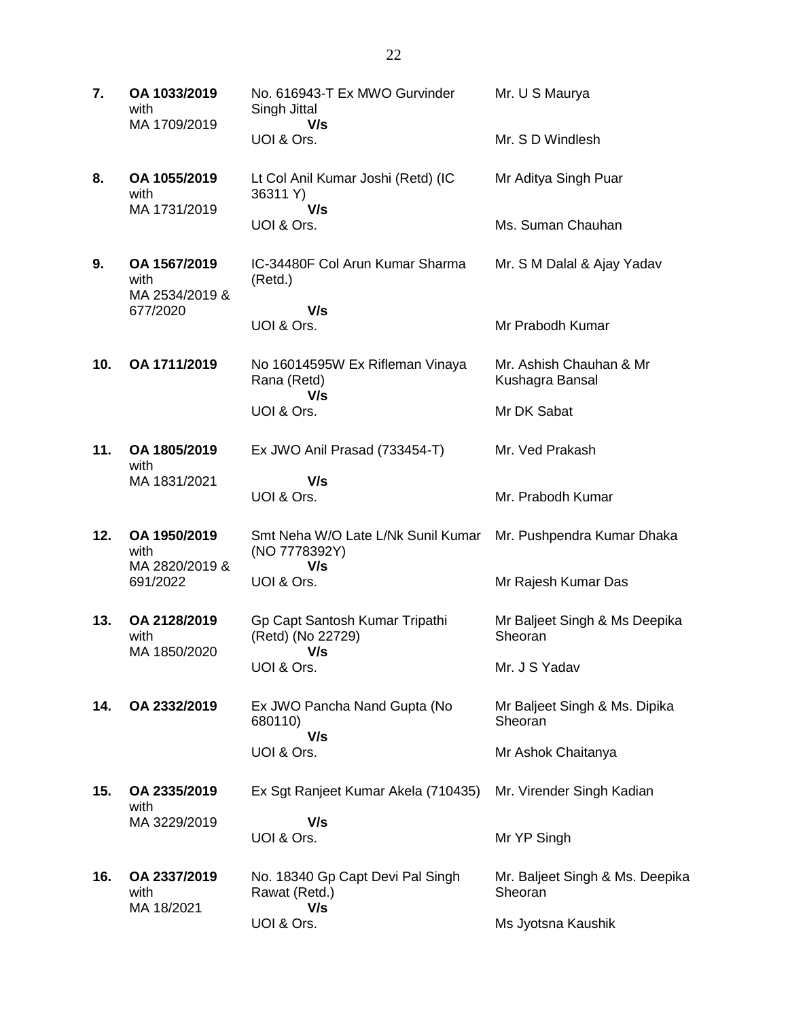| 7.  | OA 1033/2019<br>with<br>MA 1709/2019   | No. 616943-T Ex MWO Gurvinder<br>Singh Jittal<br>V/s       | Mr. U S Maurya                             |
|-----|----------------------------------------|------------------------------------------------------------|--------------------------------------------|
|     |                                        | UOI & Ors.                                                 | Mr. S D Windlesh                           |
| 8.  | OA 1055/2019<br>with<br>MA 1731/2019   | Lt Col Anil Kumar Joshi (Retd) (IC<br>36311 Y)<br>V/s      | Mr Aditya Singh Puar                       |
|     |                                        | UOI & Ors.                                                 | Ms. Suman Chauhan                          |
| 9.  | OA 1567/2019<br>with<br>MA 2534/2019 & | IC-34480F Col Arun Kumar Sharma<br>(Retd.)                 | Mr. S M Dalal & Ajay Yadav                 |
|     | 677/2020                               | V/s                                                        |                                            |
|     |                                        | UOI & Ors.                                                 | Mr Prabodh Kumar                           |
| 10. | OA 1711/2019                           | No 16014595W Ex Rifleman Vinaya<br>Rana (Retd)<br>V/s      | Mr. Ashish Chauhan & Mr<br>Kushagra Bansal |
|     |                                        | UOI & Ors.                                                 | Mr DK Sabat                                |
| 11. | OA 1805/2019<br>with                   | Ex JWO Anil Prasad (733454-T)                              | Mr. Ved Prakash                            |
|     | MA 1831/2021                           | V/s                                                        |                                            |
|     |                                        | UOI & Ors.                                                 | Mr. Prabodh Kumar                          |
| 12. | OA 1950/2019<br>with<br>MA 2820/2019 & | Smt Neha W/O Late L/Nk Sunil Kumar<br>(NO 7778392Y)<br>V/s | Mr. Pushpendra Kumar Dhaka                 |
|     | 691/2022                               | UOI & Ors.                                                 | Mr Rajesh Kumar Das                        |
| 13. | OA 2128/2019<br>with<br>MA 1850/2020   | Gp Capt Santosh Kumar Tripathi<br>(Retd) (No 22729)<br>V/s | Mr Baljeet Singh & Ms Deepika<br>Sheoran   |
|     |                                        | UOI & Ors.                                                 | Mr. J S Yadav                              |
| 14. | OA 2332/2019                           | Ex JWO Pancha Nand Gupta (No<br>680110)<br>V/s             | Mr Baljeet Singh & Ms. Dipika<br>Sheoran   |
|     |                                        | UOI & Ors.                                                 | Mr Ashok Chaitanya                         |
| 15. | OA 2335/2019<br>with                   | Ex Sgt Ranjeet Kumar Akela (710435)                        | Mr. Virender Singh Kadian                  |
|     | MA 3229/2019                           | V/s<br>UOI & Ors.                                          | Mr YP Singh                                |
| 16. | OA 2337/2019<br>with<br>MA 18/2021     | No. 18340 Gp Capt Devi Pal Singh<br>Rawat (Retd.)<br>V/s   | Mr. Baljeet Singh & Ms. Deepika<br>Sheoran |
|     |                                        | UOI & Ors.                                                 | Ms Jyotsna Kaushik                         |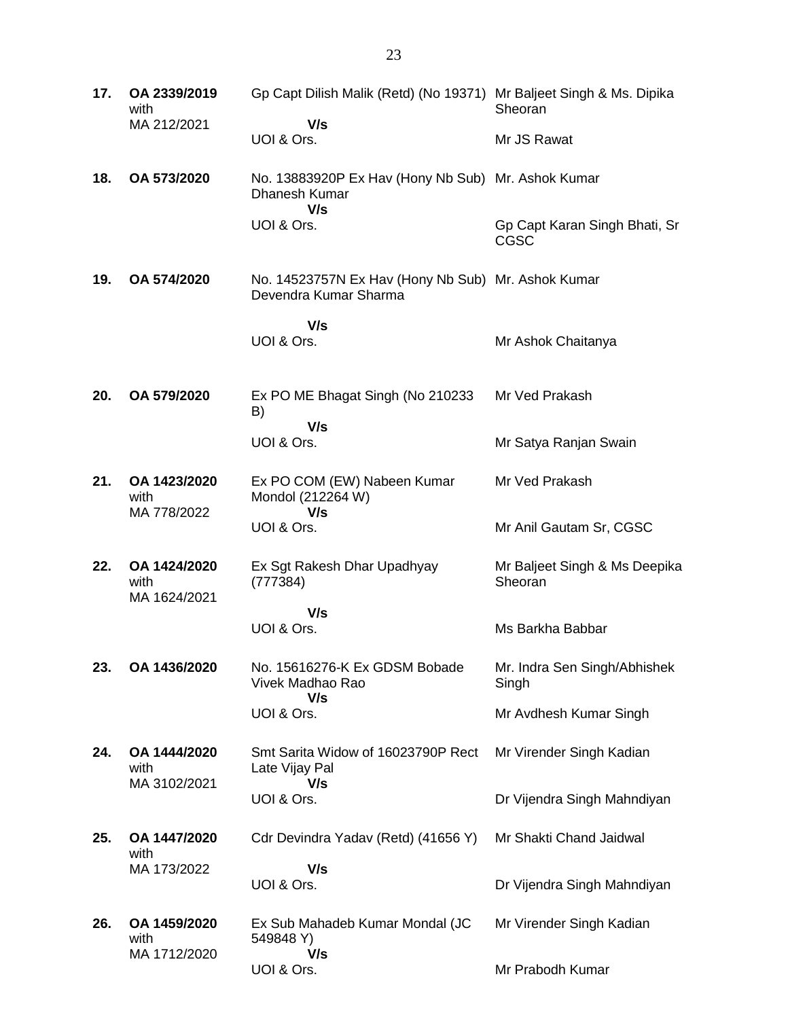| 17. | OA 2339/2019<br>with                 | Gp Capt Dilish Malik (Retd) (No 19371) Mr Baljeet Singh & Ms. Dipika        | Sheoran                                      |
|-----|--------------------------------------|-----------------------------------------------------------------------------|----------------------------------------------|
|     | MA 212/2021                          | V/s<br>UOI & Ors.                                                           | Mr JS Rawat                                  |
| 18. | OA 573/2020                          | No. 13883920P Ex Hav (Hony Nb Sub) Mr. Ashok Kumar<br>Dhanesh Kumar         |                                              |
|     |                                      | V/s<br>UOI & Ors.                                                           | Gp Capt Karan Singh Bhati, Sr<br><b>CGSC</b> |
| 19. | OA 574/2020                          | No. 14523757N Ex Hav (Hony Nb Sub) Mr. Ashok Kumar<br>Devendra Kumar Sharma |                                              |
|     |                                      | V/s                                                                         |                                              |
|     |                                      | UOI & Ors.                                                                  | Mr Ashok Chaitanya                           |
| 20. | OA 579/2020                          | Ex PO ME Bhagat Singh (No 210233<br>B)                                      | Mr Ved Prakash                               |
|     |                                      | V/s<br>UOI & Ors.                                                           | Mr Satya Ranjan Swain                        |
| 21. | OA 1423/2020<br>with                 | Ex PO COM (EW) Nabeen Kumar<br>Mondol (212264 W)                            | Mr Ved Prakash                               |
|     | MA 778/2022                          | V/s<br>UOI & Ors.                                                           | Mr Anil Gautam Sr, CGSC                      |
| 22. | OA 1424/2020<br>with<br>MA 1624/2021 | Ex Sgt Rakesh Dhar Upadhyay<br>(777384)                                     | Mr Baljeet Singh & Ms Deepika<br>Sheoran     |
|     |                                      | V/s                                                                         |                                              |
|     |                                      | UOI & Ors.                                                                  | Ms Barkha Babbar                             |
| 23. | OA 1436/2020                         | No. 15616276-K Ex GDSM Bobade<br>Vivek Madhao Rao<br>V/s                    | Mr. Indra Sen Singh/Abhishek<br>Singh        |
|     |                                      | UOI & Ors.                                                                  | Mr Avdhesh Kumar Singh                       |
| 24. | OA 1444/2020<br>with                 | Smt Sarita Widow of 16023790P Rect<br>Late Vijay Pal                        | Mr Virender Singh Kadian                     |
|     | MA 3102/2021                         | V/s<br>UOI & Ors.                                                           | Dr Vijendra Singh Mahndiyan                  |
| 25. | OA 1447/2020<br>with                 | Cdr Devindra Yadav (Retd) (41656 Y)                                         | Mr Shakti Chand Jaidwal                      |
|     | MA 173/2022                          | V/s                                                                         |                                              |
|     |                                      | UOI & Ors.                                                                  | Dr Vijendra Singh Mahndiyan                  |
| 26. | OA 1459/2020<br>with                 | Ex Sub Mahadeb Kumar Mondal (JC<br>549848 Y)                                | Mr Virender Singh Kadian                     |
|     | MA 1712/2020                         | V/s<br>UOI & Ors.                                                           | Mr Prabodh Kumar                             |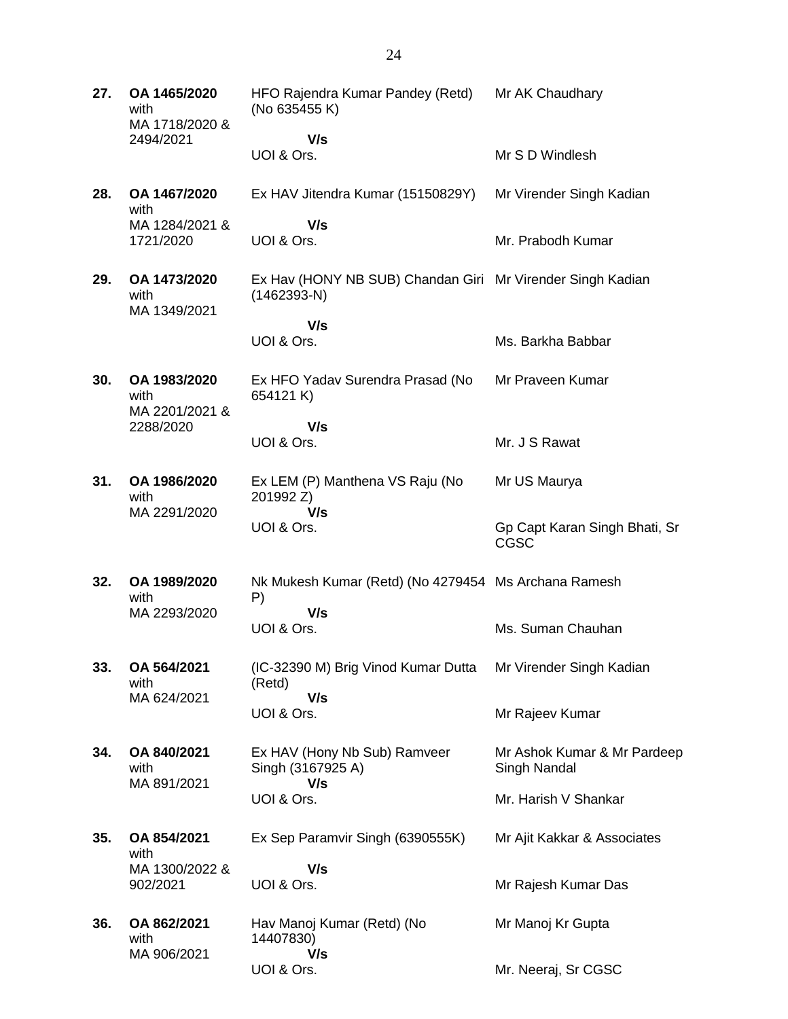**27. OA 1465/2020** with MA 1718/2020 & 2494/2021 HFO Rajendra Kumar Pandey (Retd) (No 635455 K)  **V/s** UOI & Ors. Mr AK Chaudhary Mr S D Windlesh **28. OA 1467/2020** with MA 1284/2021 & 1721/2020 Ex HAV Jitendra Kumar (15150829Y)  **V/s** UOI & Ors. Mr Virender Singh Kadian Mr. Prabodh Kumar **29. OA 1473/2020** with MA 1349/2021 Ex Hav (HONY NB SUB) Chandan Giri Mr Virender Singh Kadian (1462393-N)  **V/s** UOI & Ors. Ms. Barkha Babbar **30. OA 1983/2020** with MA 2201/2021 & 2288/2020 Ex HFO Yadav Surendra Prasad (No 654121 K)  **V/s** UOI & Ors. Mr Praveen Kumar Mr. J S Rawat **31. OA 1986/2020** with MA 2291/2020 Ex LEM (P) Manthena VS Raju (No 201992 Z)  **V/s** UOI & Ors. Mr US Maurya Gp Capt Karan Singh Bhati, Sr CGSC **32. OA 1989/2020** with MA 2293/2020 Nk Mukesh Kumar (Retd) (No 4279454 Ms Archana Ramesh P)  **V/s** UOI & Ors. Ms. Suman Chauhan **33. OA 564/2021** with MA 624/2021 (IC-32390 M) Brig Vinod Kumar Dutta (Retd)  **V/s** UOI & Ors. Mr Virender Singh Kadian Mr Rajeev Kumar **34. OA 840/2021** with MA 891/2021 Ex HAV (Hony Nb Sub) Ramveer Singh (3167925 A)  **V/s** UOI & Ors. Mr Ashok Kumar & Mr Pardeep Singh Nandal Mr. Harish V Shankar **35. OA 854/2021** with MA 1300/2022 & 902/2021 Ex Sep Paramvir Singh (6390555K)  **V/s** UOI & Ors. Mr Ajit Kakkar & Associates Mr Rajesh Kumar Das **36. OA 862/2021** with MA 906/2021 Hav Manoj Kumar (Retd) (No 14407830)  **V/s** UOI & Ors. Mr Manoj Kr Gupta Mr. Neeraj, Sr CGSC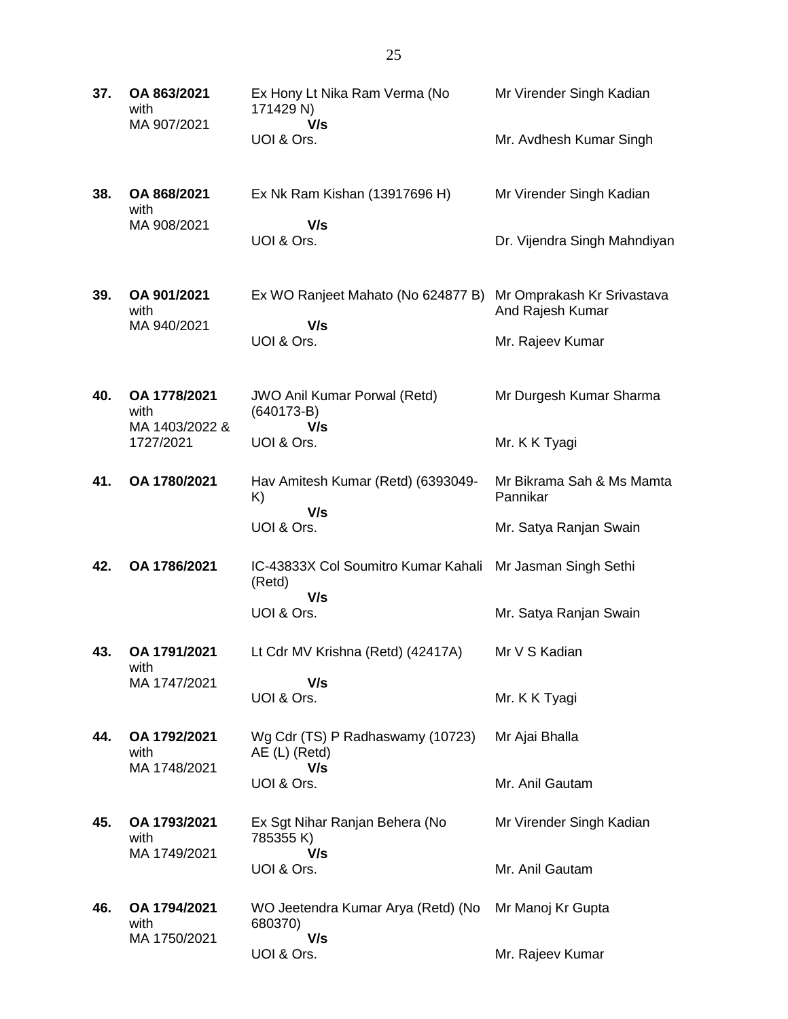| 37. | OA 863/2021<br>with<br>MA 907/2021     | Ex Hony Lt Nika Ram Verma (No<br>171429 N)                 | Mr Virender Singh Kadian                       |
|-----|----------------------------------------|------------------------------------------------------------|------------------------------------------------|
|     |                                        | V/s<br>UOI & Ors.                                          | Mr. Avdhesh Kumar Singh                        |
| 38. | OA 868/2021<br>with<br>MA 908/2021     | Ex Nk Ram Kishan (13917696 H)<br>V/s                       | Mr Virender Singh Kadian                       |
|     |                                        | UOI & Ors.                                                 | Dr. Vijendra Singh Mahndiyan                   |
| 39. | OA 901/2021<br>with<br>MA 940/2021     | Ex WO Ranjeet Mahato (No 624877 B)<br>V/s                  | Mr Omprakash Kr Srivastava<br>And Rajesh Kumar |
|     |                                        | UOI & Ors.                                                 | Mr. Rajeev Kumar                               |
| 40. | OA 1778/2021<br>with<br>MA 1403/2022 & | <b>JWO Anil Kumar Porwal (Retd)</b><br>$(640173-B)$<br>V/s | Mr Durgesh Kumar Sharma                        |
|     | 1727/2021                              | UOI & Ors.                                                 | Mr. K K Tyagi                                  |
| 41. | OA 1780/2021                           | Hav Amitesh Kumar (Retd) (6393049-<br>K)<br>V/s            | Mr Bikrama Sah & Ms Mamta<br>Pannikar          |
|     |                                        | UOI & Ors.                                                 | Mr. Satya Ranjan Swain                         |
| 42. | OA 1786/2021                           | IC-43833X Col Soumitro Kumar Kahali<br>(Retd)<br>V/s       | Mr Jasman Singh Sethi                          |
|     |                                        | UOI & Ors.                                                 | Mr. Satya Ranjan Swain                         |
| 43. | OA 1791/2021<br>with                   | Lt Cdr MV Krishna (Retd) (42417A)                          | Mr V S Kadian                                  |
|     | MA 1747/2021                           | V/s<br>UOI & Ors.                                          | Mr. K K Tyagi                                  |
| 44. | OA 1792/2021<br>with<br>MA 1748/2021   | Wg Cdr (TS) P Radhaswamy (10723)<br>AE (L) (Retd)<br>V/s   | Mr Ajai Bhalla                                 |
|     |                                        | UOI & Ors.                                                 | Mr. Anil Gautam                                |
| 45. | OA 1793/2021<br>with<br>MA 1749/2021   | Ex Sgt Nihar Ranjan Behera (No<br>785355 K)<br>V/s         | Mr Virender Singh Kadian                       |
|     |                                        | UOI & Ors.                                                 | Mr. Anil Gautam                                |
| 46. | OA 1794/2021<br>with<br>MA 1750/2021   | WO Jeetendra Kumar Arya (Retd) (No<br>680370)<br>V/s       | Mr Manoj Kr Gupta                              |
|     |                                        | UOI & Ors.                                                 | Mr. Rajeev Kumar                               |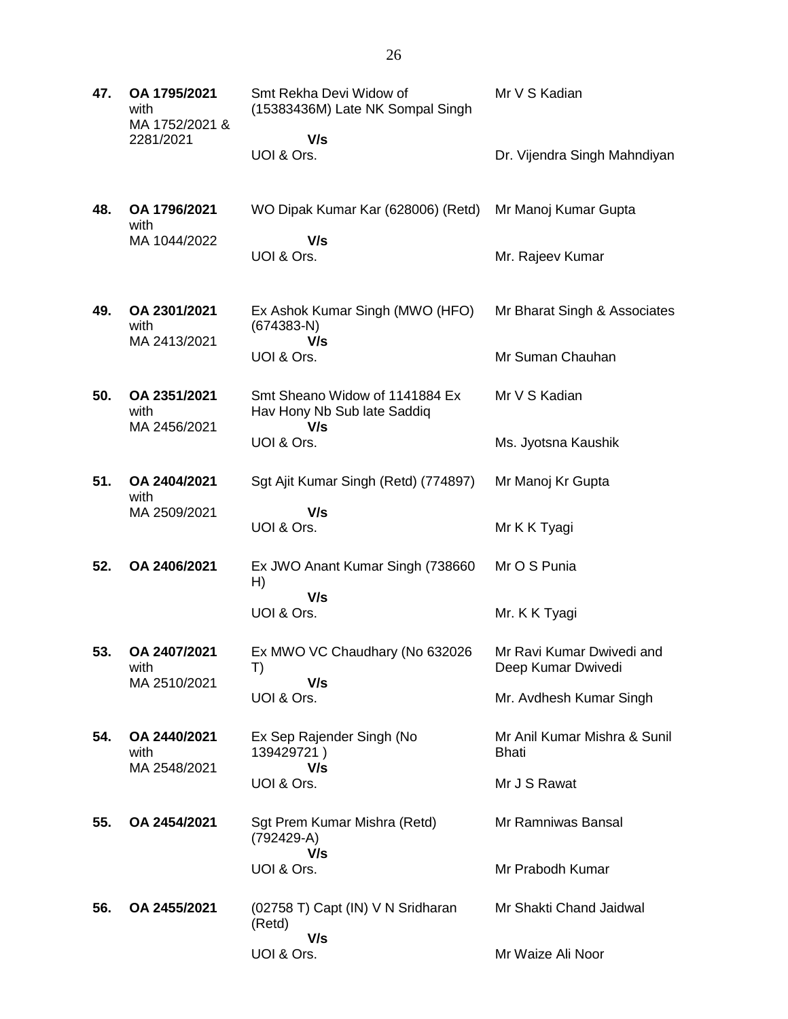| 47. | OA 1795/2021<br>with<br>MA 1752/2021 & | Smt Rekha Devi Widow of<br>(15383436M) Late NK Sompal Singh          | Mr V S Kadian                                   |
|-----|----------------------------------------|----------------------------------------------------------------------|-------------------------------------------------|
|     | 2281/2021                              | V/s                                                                  |                                                 |
|     |                                        | UOI & Ors.                                                           | Dr. Vijendra Singh Mahndiyan                    |
| 48. | OA 1796/2021<br>with                   | WO Dipak Kumar Kar (628006) (Retd)                                   | Mr Manoj Kumar Gupta                            |
|     | MA 1044/2022                           | V/s<br>UOI & Ors.                                                    | Mr. Rajeev Kumar                                |
| 49. | OA 2301/2021<br>with<br>MA 2413/2021   | Ex Ashok Kumar Singh (MWO (HFO)<br>$(674383-N)$<br>V/s               | Mr Bharat Singh & Associates                    |
|     |                                        | UOI & Ors.                                                           | Mr Suman Chauhan                                |
| 50. | OA 2351/2021<br>with<br>MA 2456/2021   | Smt Sheano Widow of 1141884 Ex<br>Hav Hony Nb Sub late Saddiq<br>V/s | Mr V S Kadian                                   |
|     |                                        | UOI & Ors.                                                           | Ms. Jyotsna Kaushik                             |
| 51. | OA 2404/2021<br>with                   | Sgt Ajit Kumar Singh (Retd) (774897)                                 | Mr Manoj Kr Gupta                               |
|     | MA 2509/2021                           | V/s<br>UOI & Ors.                                                    | Mr K K Tyagi                                    |
| 52. | OA 2406/2021                           | Ex JWO Anant Kumar Singh (738660<br>H)                               | Mr O S Punia                                    |
|     |                                        | V/s<br>UOI & Ors.                                                    | Mr. K K Tyagi                                   |
| 53. | OA 2407/2021<br>with                   | Ex MWO VC Chaudhary (No 632026<br>T)                                 | Mr Ravi Kumar Dwivedi and<br>Deep Kumar Dwivedi |
|     | MA 2510/2021                           | V/s<br>UOI & Ors.                                                    | Mr. Avdhesh Kumar Singh                         |
| 54. | OA 2440/2021<br>with<br>MA 2548/2021   | Ex Sep Rajender Singh (No<br>139429721)<br>V/s                       | Mr Anil Kumar Mishra & Sunil<br>Bhati           |
|     |                                        | UOI & Ors.                                                           | Mr J S Rawat                                    |
| 55. | OA 2454/2021                           | Sgt Prem Kumar Mishra (Retd)<br>(792429-A)<br>V/s                    | Mr Ramniwas Bansal                              |
|     |                                        | UOI & Ors.                                                           | Mr Prabodh Kumar                                |
| 56. | OA 2455/2021                           | (02758 T) Capt (IN) V N Sridharan<br>(Retd)<br>V/s                   | Mr Shakti Chand Jaidwal                         |
|     |                                        | UOI & Ors.                                                           | Mr Waize Ali Noor                               |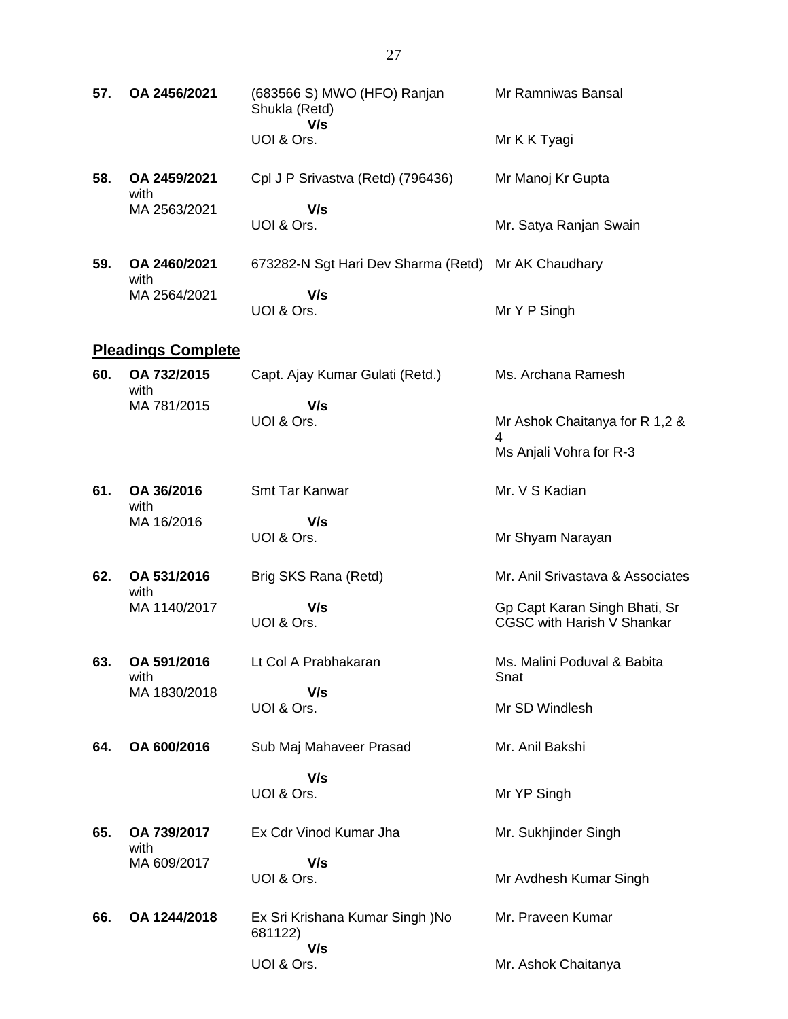| 57. | OA 2456/2021              | (683566 S) MWO (HFO) Ranjan<br>Shukla (Retd)<br>V/s | Mr Ramniwas Bansal                                                 |
|-----|---------------------------|-----------------------------------------------------|--------------------------------------------------------------------|
|     |                           | UOI & Ors.                                          | Mr K K Tyagi                                                       |
| 58. | OA 2459/2021<br>with      | Cpl J P Srivastva (Retd) (796436)                   | Mr Manoj Kr Gupta                                                  |
|     | MA 2563/2021              | V/s<br>UOI & Ors.                                   | Mr. Satya Ranjan Swain                                             |
| 59. | OA 2460/2021<br>with      | 673282-N Sgt Hari Dev Sharma (Retd)                 | Mr AK Chaudhary                                                    |
|     | MA 2564/2021              | V/s<br>UOI & Ors.                                   | Mr Y P Singh                                                       |
|     | <b>Pleadings Complete</b> |                                                     |                                                                    |
| 60. | OA 732/2015<br>with       | Capt. Ajay Kumar Gulati (Retd.)                     | Ms. Archana Ramesh                                                 |
|     | MA 781/2015               | V/s<br>UOI & Ors.                                   | Mr Ashok Chaitanya for R 1,2 &<br>4                                |
|     |                           |                                                     | Ms Anjali Vohra for R-3                                            |
| 61. | OA 36/2016<br>with        | Smt Tar Kanwar                                      | Mr. V S Kadian                                                     |
|     | MA 16/2016                | V/s<br>UOI & Ors.                                   | Mr Shyam Narayan                                                   |
| 62. | OA 531/2016<br>with       | Brig SKS Rana (Retd)                                | Mr. Anil Srivastava & Associates                                   |
|     | MA 1140/2017              | V/s<br>UOI & Ors.                                   | Gp Capt Karan Singh Bhati, Sr<br><b>CGSC with Harish V Shankar</b> |
| 63. | OA 591/2016<br>with       | Lt Col A Prabhakaran                                | Ms. Malini Poduval & Babita<br>Snat                                |
|     | MA 1830/2018              | V/s<br>UOI & Ors.                                   | Mr SD Windlesh                                                     |
| 64. | OA 600/2016               | Sub Maj Mahaveer Prasad                             | Mr. Anil Bakshi                                                    |
|     |                           | V/s<br>UOI & Ors.                                   | Mr YP Singh                                                        |
| 65. | OA 739/2017<br>with       | Ex Cdr Vinod Kumar Jha                              | Mr. Sukhjinder Singh                                               |
|     | MA 609/2017               | V/s<br>UOI & Ors.                                   | Mr Avdhesh Kumar Singh                                             |
| 66. | OA 1244/2018              | Ex Sri Krishana Kumar Singh )No<br>681122)<br>V/s   | Mr. Praveen Kumar                                                  |
|     |                           | UOI & Ors.                                          | Mr. Ashok Chaitanya                                                |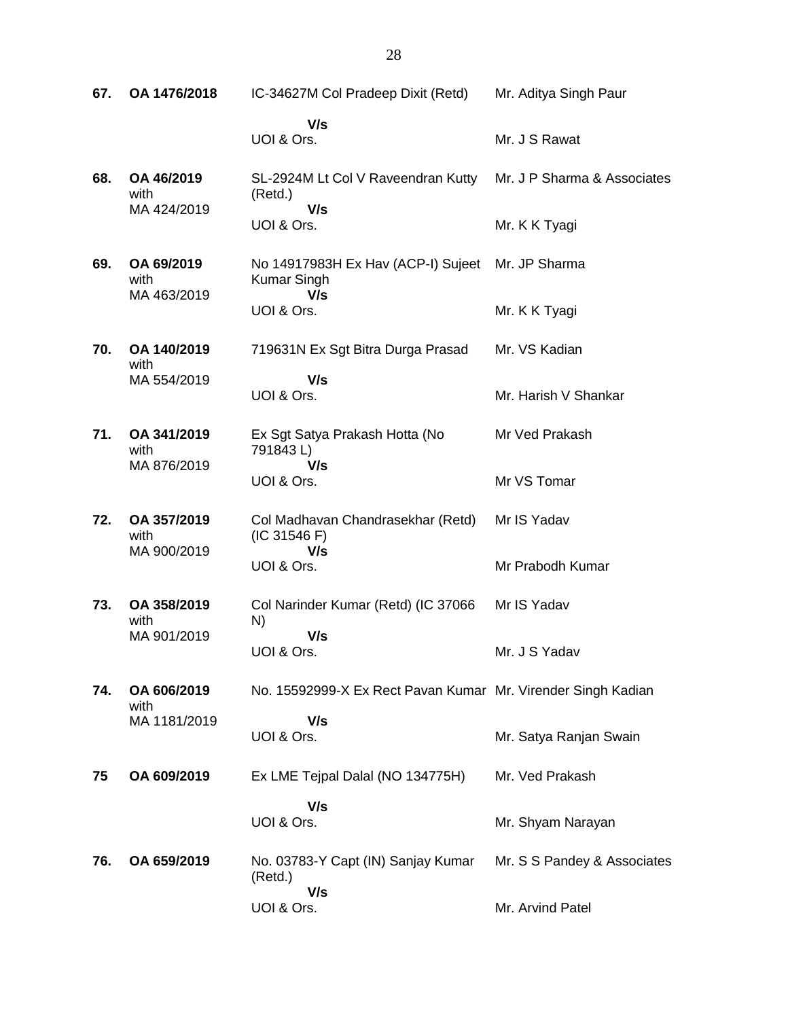| 67. | OA 1476/2018                      | IC-34627M Col Pradeep Dixit (Retd)                              | Mr. Aditya Singh Paur       |
|-----|-----------------------------------|-----------------------------------------------------------------|-----------------------------|
|     |                                   | V/s<br>UOI & Ors.                                               | Mr. J S Rawat               |
| 68. | OA 46/2019<br>with                | SL-2924M Lt Col V Raveendran Kutty<br>(Retd.)                   | Mr. J P Sharma & Associates |
|     | MA 424/2019                       | V/s<br>UOI & Ors.                                               | Mr. K K Tyagi               |
| 69. | OA 69/2019<br>with<br>MA 463/2019 | No 14917983H Ex Hav (ACP-I) Sujeet<br><b>Kumar Singh</b><br>V/s | Mr. JP Sharma               |
|     |                                   | UOI & Ors.                                                      | Mr. K K Tyagi               |
| 70. | OA 140/2019<br>with               | 719631N Ex Sgt Bitra Durga Prasad                               | Mr. VS Kadian               |
|     | MA 554/2019                       | V/s<br>UOI & Ors.                                               | Mr. Harish V Shankar        |
| 71. | OA 341/2019<br>with               | Ex Sgt Satya Prakash Hotta (No<br>791843L)                      | Mr Ved Prakash              |
|     | MA 876/2019                       | V/s<br>UOI & Ors.                                               | Mr VS Tomar                 |
| 72. | OA 357/2019<br>with               | Col Madhavan Chandrasekhar (Retd)<br>(IC 31546 F)               | Mr IS Yadav                 |
|     | MA 900/2019                       | V/s<br>UOI & Ors.                                               | Mr Prabodh Kumar            |
| 73. | OA 358/2019<br>with               | Col Narinder Kumar (Retd) (IC 37066<br>N)                       | Mr IS Yadav                 |
|     | MA 901/2019                       | V/s<br>UOI & Ors.                                               | Mr. J S Yadav               |
| 74. | OA 606/2019<br>with               | No. 15592999-X Ex Rect Pavan Kumar Mr. Virender Singh Kadian    |                             |
|     | MA 1181/2019                      | V/s<br>UOI & Ors.                                               | Mr. Satya Ranjan Swain      |
| 75  | OA 609/2019                       | Ex LME Tejpal Dalal (NO 134775H)                                | Mr. Ved Prakash             |
|     |                                   | V/s<br>UOI & Ors.                                               | Mr. Shyam Narayan           |
| 76. | OA 659/2019                       | No. 03783-Y Capt (IN) Sanjay Kumar<br>(Retd.)                   | Mr. S S Pandey & Associates |
|     |                                   | V/s<br>UOI & Ors.                                               | Mr. Arvind Patel            |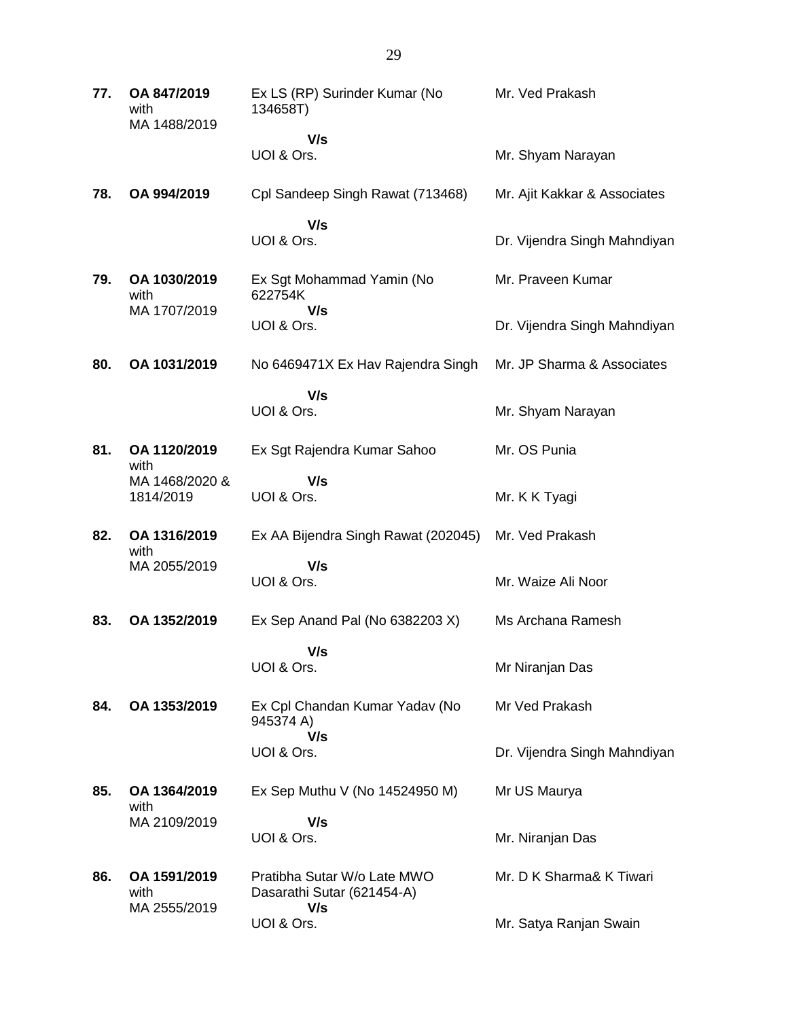| 77. | OA 847/2019<br>with<br>MA 1488/2019                 | Ex LS (RP) Surinder Kumar (No<br>134658T)                        | Mr. Ved Prakash              |
|-----|-----------------------------------------------------|------------------------------------------------------------------|------------------------------|
|     |                                                     | V/s                                                              |                              |
|     |                                                     | UOI & Ors.                                                       | Mr. Shyam Narayan            |
| 78. | OA 994/2019                                         | Cpl Sandeep Singh Rawat (713468)                                 | Mr. Ajit Kakkar & Associates |
|     |                                                     | V/s<br>UOI & Ors.                                                | Dr. Vijendra Singh Mahndiyan |
| 79. | OA 1030/2019<br>with                                | Ex Sgt Mohammad Yamin (No<br>622754K                             | Mr. Praveen Kumar            |
|     | MA 1707/2019                                        | V/s<br>UOI & Ors.                                                | Dr. Vijendra Singh Mahndiyan |
| 80. | OA 1031/2019                                        | No 6469471X Ex Hav Rajendra Singh                                | Mr. JP Sharma & Associates   |
|     |                                                     | V/s<br>UOI & Ors.                                                | Mr. Shyam Narayan            |
| 81. | OA 1120/2019<br>with<br>MA 1468/2020 &<br>1814/2019 | Ex Sgt Rajendra Kumar Sahoo                                      | Mr. OS Punia                 |
|     |                                                     | V/s<br>UOI & Ors.                                                | Mr. K K Tyagi                |
| 82. | OA 1316/2019<br>with                                | Ex AA Bijendra Singh Rawat (202045)                              | Mr. Ved Prakash              |
|     | MA 2055/2019                                        | V/s<br>UOI & Ors.                                                | Mr. Waize Ali Noor           |
| 83. | OA 1352/2019                                        | Ex Sep Anand Pal (No 6382203 X)                                  | Ms Archana Ramesh            |
|     |                                                     | V/s<br>UOI & Ors.                                                | Mr Niranjan Das              |
| 84. | OA 1353/2019                                        | Ex Cpl Chandan Kumar Yadav (No<br>945374 A)<br>V/s               | Mr Ved Prakash               |
|     |                                                     | UOI & Ors.                                                       | Dr. Vijendra Singh Mahndiyan |
| 85. | OA 1364/2019<br>with                                | Ex Sep Muthu V (No 14524950 M)                                   | Mr US Maurya                 |
|     | MA 2109/2019                                        | V/s<br>UOI & Ors.                                                | Mr. Niranjan Das             |
| 86. | OA 1591/2019<br>with<br>MA 2555/2019                | Pratibha Sutar W/o Late MWO<br>Dasarathi Sutar (621454-A)<br>V/s | Mr. D K Sharma& K Tiwari     |
|     |                                                     | UOI & Ors.                                                       | Mr. Satya Ranjan Swain       |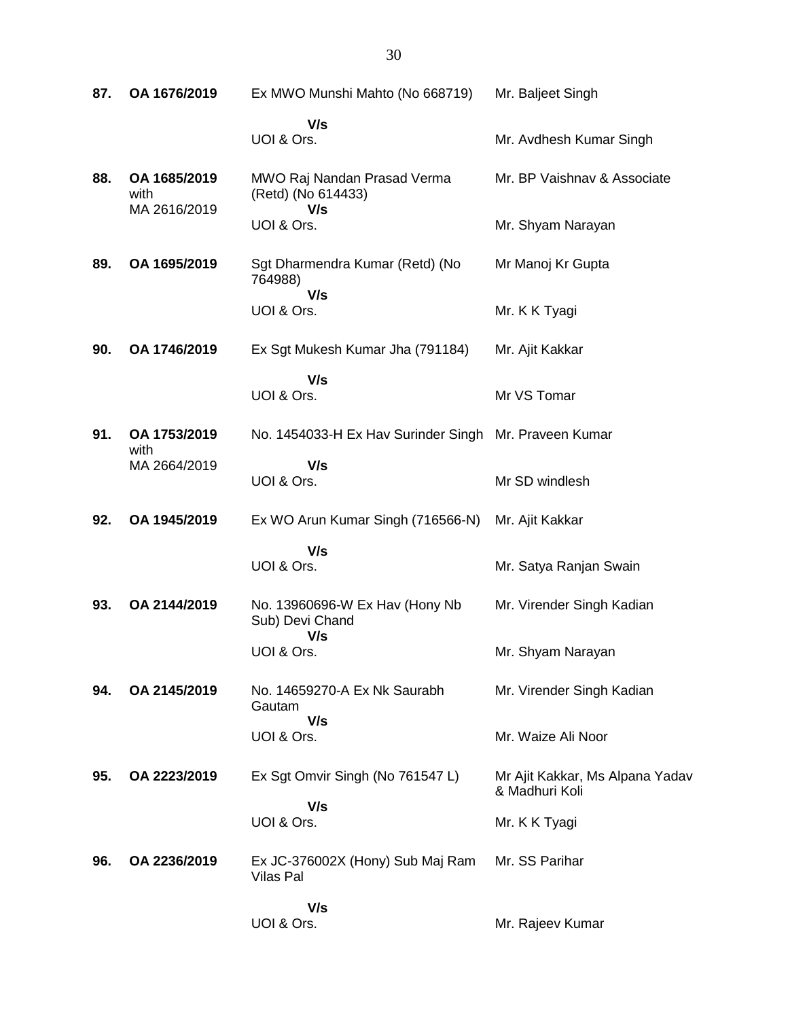**87. OA 1676/2019** Ex MWO Munshi Mahto (No 668719)  **V/s** UOI & Ors. Mr. Baljeet Singh Mr. Avdhesh Kumar Singh **88. OA 1685/2019** with MA 2616/2019 MWO Raj Nandan Prasad Verma (Retd) (No 614433)  **V/s** UOI & Ors. Mr. BP Vaishnav & Associate Mr. Shyam Narayan **89. OA 1695/2019** Sgt Dharmendra Kumar (Retd) (No 764988)  **V/s** UOI & Ors. Mr Manoj Kr Gupta Mr. K K Tyagi **90. OA 1746/2019** Ex Sgt Mukesh Kumar Jha (791184)  **V/s** UOI & Ors. Mr. Ajit Kakkar Mr VS Tomar **91. OA 1753/2019** with MA 2664/2019 No. 1454033-H Ex Hav Surinder Singh Mr. Praveen Kumar  **V/s** UOI & Ors. Mr SD windlesh **92. OA 1945/2019** Ex WO Arun Kumar Singh (716566-N)  **V/s** UOI & Ors. Mr. Ajit Kakkar Mr. Satya Ranjan Swain **93. OA 2144/2019** No. 13960696-W Ex Hav (Hony Nb Sub) Devi Chand  **V/s** UOI & Ors. Mr. Virender Singh Kadian Mr. Shyam Narayan **94. OA 2145/2019** No. 14659270-A Ex Nk Saurabh Gautam  **V/s** UOI & Ors. Mr. Virender Singh Kadian Mr. Waize Ali Noor **95. OA 2223/2019** Ex Sgt Omvir Singh (No 761547 L)  **V/s** UOI & Ors. Mr Ajit Kakkar, Ms Alpana Yadav & Madhuri Koli Mr. K K Tyagi **96. OA 2236/2019** Ex JC-376002X (Hony) Sub Maj Ram Vilas Pal  **V/s** UOI & Ors. Mr. SS Parihar Mr. Rajeev Kumar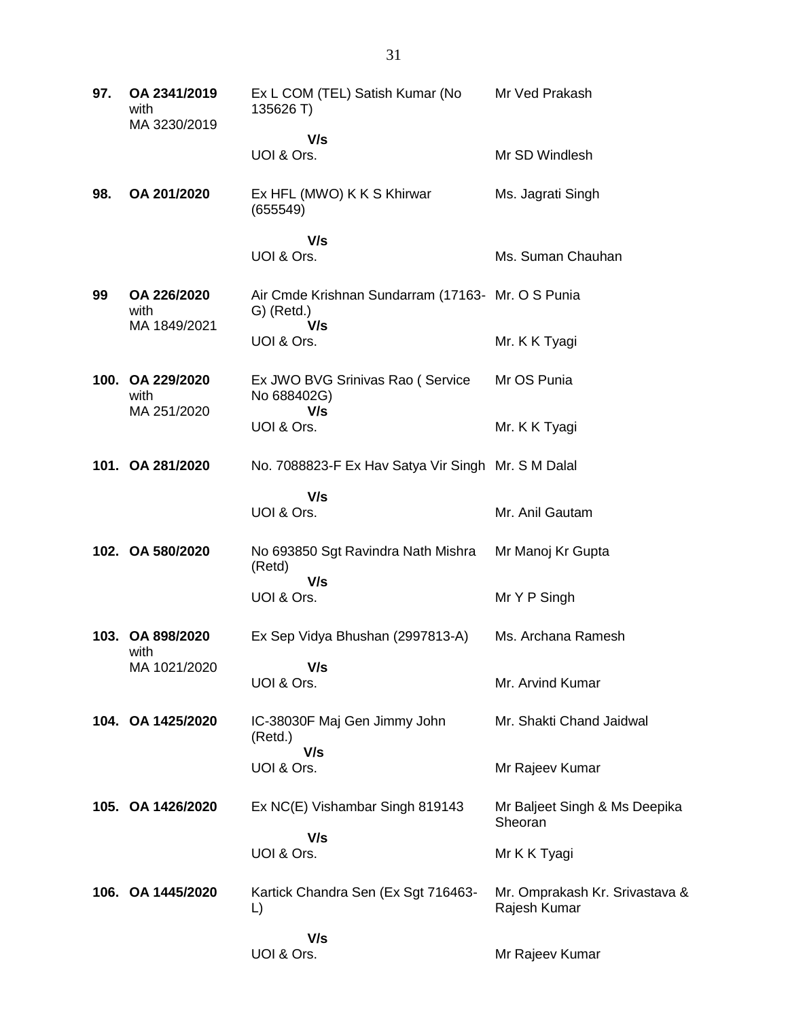| 97. | OA 2341/2019<br>with<br>MA 3230/2019    | Ex L COM (TEL) Satish Kumar (No<br>135626 T)                             | Mr Ved Prakash                                 |
|-----|-----------------------------------------|--------------------------------------------------------------------------|------------------------------------------------|
|     |                                         | V/s                                                                      |                                                |
|     |                                         | UOI & Ors.                                                               | Mr SD Windlesh                                 |
| 98. | OA 201/2020                             | Ex HFL (MWO) K K S Khirwar<br>(655549)                                   | Ms. Jagrati Singh                              |
|     |                                         | V/s<br>UOI & Ors.                                                        | Ms. Suman Chauhan                              |
| 99  | OA 226/2020<br>with<br>MA 1849/2021     | Air Cmde Krishnan Sundarram (17163- Mr. O S Punia<br>$G)$ (Retd.)<br>V/s |                                                |
|     |                                         | UOI & Ors.                                                               | Mr. K K Tyagi                                  |
|     | 100. OA 229/2020<br>with<br>MA 251/2020 | Ex JWO BVG Srinivas Rao (Service<br>No 688402G)<br>V/s                   | Mr OS Punia                                    |
|     |                                         | UOI & Ors.                                                               | Mr. K K Tyagi                                  |
|     | 101. OA 281/2020                        | No. 7088823-F Ex Hav Satya Vir Singh Mr. S M Dalal                       |                                                |
|     |                                         | V/s<br>UOI & Ors.                                                        | Mr. Anil Gautam                                |
|     | 102. OA 580/2020                        | No 693850 Sgt Ravindra Nath Mishra<br>(Retd)                             | Mr Manoj Kr Gupta                              |
|     |                                         | V/s<br>UOI & Ors.                                                        | Mr Y P Singh                                   |
|     | 103. OA 898/2020<br>with                | Ex Sep Vidya Bhushan (2997813-A)                                         | Ms. Archana Ramesh                             |
|     | MA 1021/2020                            | V/s<br>UOI & Ors.                                                        | Mr. Arvind Kumar                               |
|     | 104. OA 1425/2020                       | IC-38030F Maj Gen Jimmy John<br>(Retd.)                                  | Mr. Shakti Chand Jaidwal                       |
|     |                                         | V/s<br>UOI & Ors.                                                        | Mr Rajeev Kumar                                |
|     | 105. OA 1426/2020                       | Ex NC(E) Vishambar Singh 819143                                          | Mr Baljeet Singh & Ms Deepika<br>Sheoran       |
|     |                                         | V/s<br>UOI & Ors.                                                        | Mr K K Tyagi                                   |
|     | 106. OA 1445/2020                       | Kartick Chandra Sen (Ex Sgt 716463-<br>L)                                | Mr. Omprakash Kr. Srivastava &<br>Rajesh Kumar |
|     |                                         | V/s<br>UOI & Ors.                                                        | Mr Rajeev Kumar                                |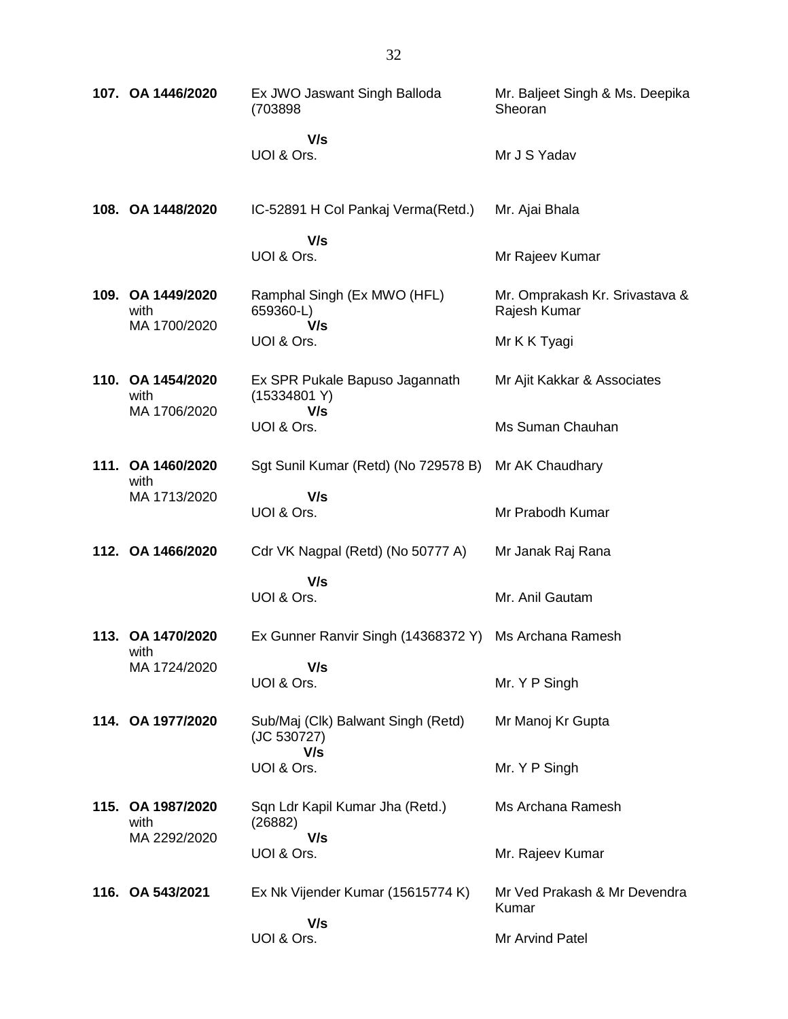| 107. OA 1446/2020         | Ex JWO Jaswant Singh Balloda<br>(703898)          | Mr. Baljeet Singh & Ms. Deepika<br>Sheoran     |
|---------------------------|---------------------------------------------------|------------------------------------------------|
|                           | V/s<br>UOI & Ors.                                 | Mr J S Yadav                                   |
| 108. OA 1448/2020         | IC-52891 H Col Pankaj Verma (Retd.)               | Mr. Ajai Bhala                                 |
|                           | V/s<br>UOI & Ors.                                 | Mr Rajeev Kumar                                |
| 109. OA 1449/2020<br>with | Ramphal Singh (Ex MWO (HFL)<br>659360-L)          | Mr. Omprakash Kr. Srivastava &<br>Rajesh Kumar |
| MA 1700/2020              | V/s<br>UOI & Ors.                                 | Mr K K Tyagi                                   |
| 110. OA 1454/2020<br>with | Ex SPR Pukale Bapuso Jagannath<br>(15334801 Y)    | Mr Ajit Kakkar & Associates                    |
| MA 1706/2020              | V/s<br>UOI & Ors.                                 | Ms Suman Chauhan                               |
| 111. OA 1460/2020<br>with | Sgt Sunil Kumar (Retd) (No 729578 B)              | Mr AK Chaudhary                                |
| MA 1713/2020              | V/s<br>UOI & Ors.                                 | Mr Prabodh Kumar                               |
| 112. OA 1466/2020         | Cdr VK Nagpal (Retd) (No 50777 A)                 | Mr Janak Raj Rana                              |
|                           | V/s                                               |                                                |
|                           | UOI & Ors.                                        | Mr. Anil Gautam                                |
| 113. OA 1470/2020<br>with | Ex Gunner Ranvir Singh (14368372 Y)               | Ms Archana Ramesh                              |
| MA 1724/2020              | V/s<br>UOI & Ors.                                 | Mr. Y P Singh                                  |
| 114. OA 1977/2020         | Sub/Maj (Clk) Balwant Singh (Retd)<br>(JC 530727) | Mr Manoj Kr Gupta                              |
|                           | V/s<br>UOI & Ors.                                 | Mr. Y P Singh                                  |
| 115. OA 1987/2020<br>with | Sqn Ldr Kapil Kumar Jha (Retd.)<br>(26882)        | Ms Archana Ramesh                              |
| MA 2292/2020              | V/s<br>UOI & Ors.                                 | Mr. Rajeev Kumar                               |
| 116. OA 543/2021          | Ex Nk Vijender Kumar (15615774 K)                 | Mr Ved Prakash & Mr Devendra<br>Kumar          |
|                           | V/s<br>UOI & Ors.                                 | Mr Arvind Patel                                |